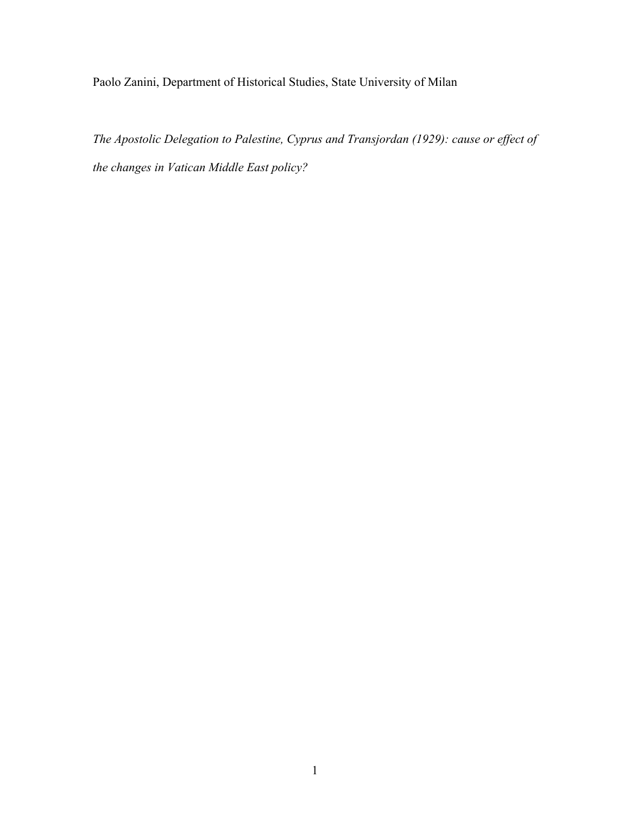Paolo Zanini, Department of Historical Studies, State University of Milan

*The Apostolic Delegation to Palestine, Cyprus and Transjordan (1929): cause or effect of the changes in Vatican Middle East policy?*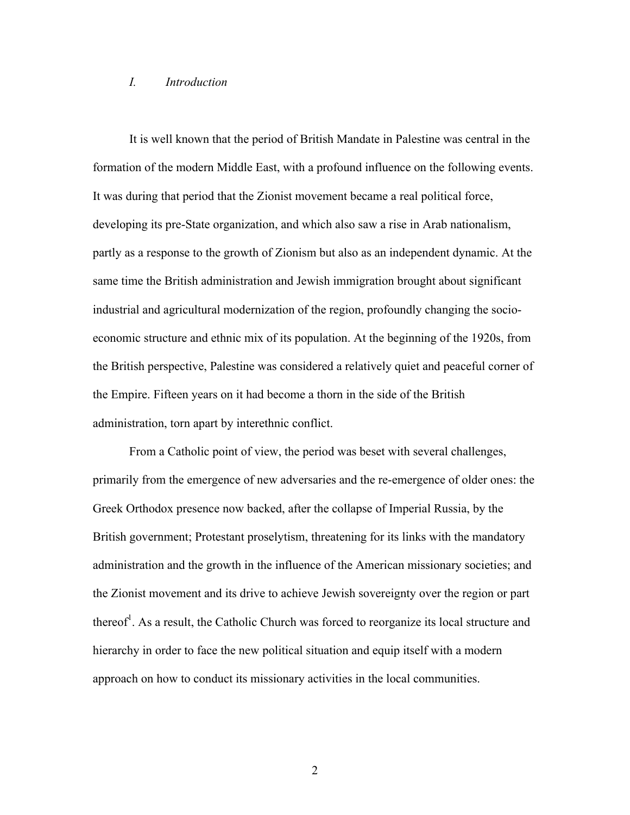#### *I. Introduction*

It is well known that the period of British Mandate in Palestine was central in the formation of the modern Middle East, with a profound influence on the following events. It was during that period that the Zionist movement became a real political force, developing its pre-State organization, and which also saw a rise in Arab nationalism, partly as a response to the growth of Zionism but also as an independent dynamic. At the same time the British administration and Jewish immigration brought about significant industrial and agricultural modernization of the region, profoundly changing the socioeconomic structure and ethnic mix of its population. At the beginning of the 1920s, from the British perspective, Palestine was considered a relatively quiet and peaceful corner of the Empire. Fifteen years on it had become a thorn in the side of the British administration, torn apart by interethnic conflict.

From a Catholic point of view, the period was beset with several challenges, primarily from the emergence of new adversaries and the re-emergence of older ones: the Greek Orthodox presence now backed, after the collapse of Imperial Russia, by the British government; Protestant proselytism, threatening for its links with the mandatory administration and the growth in the influence of the American missionary societies; and the Zionist movement and its drive to achieve Jewish sovereignty over the region or part thereof<sup>1</sup>. As a result, the Catholic Church was forced to reorganize its local structure and hierarchy in order to face the new political situation and equip itself with a modern approach on how to conduct its missionary activities in the local communities.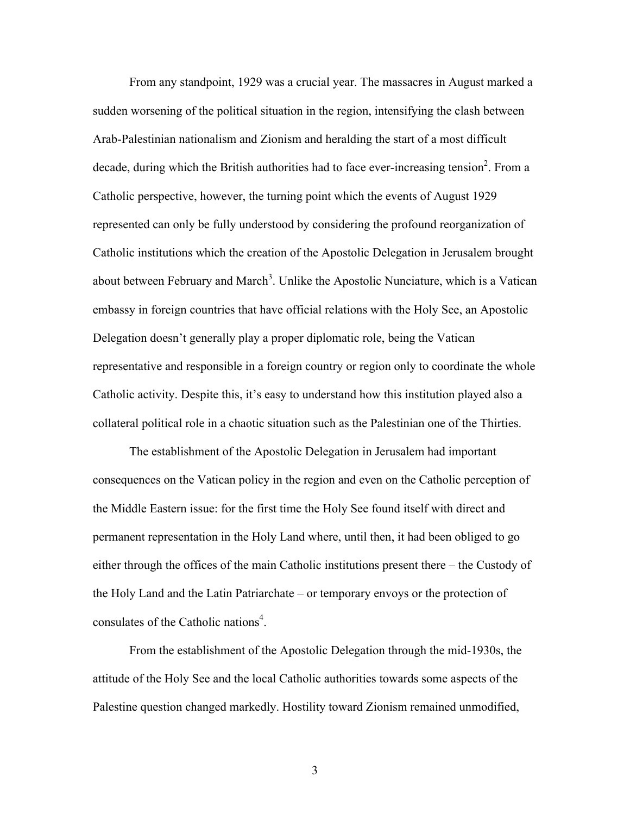From any standpoint, 1929 was a crucial year. The massacres in August marked a sudden worsening of the political situation in the region, intensifying the clash between Arab-Palestinian nationalism and Zionism and heralding the start of a most difficult decade, during which the British authorities had to face ever-increasing tension<sup>2</sup>. From a Catholic perspective, however, the turning point which the events of August 1929 represented can only be fully understood by considering the profound reorganization of Catholic institutions which the creation of the Apostolic Delegation in Jerusalem brought about between February and March<sup>3</sup>. Unlike the Apostolic Nunciature, which is a Vatican embassy in foreign countries that have official relations with the Holy See, an Apostolic Delegation doesn't generally play a proper diplomatic role, being the Vatican representative and responsible in a foreign country or region only to coordinate the whole Catholic activity. Despite this, it's easy to understand how this institution played also a collateral political role in a chaotic situation such as the Palestinian one of the Thirties.

The establishment of the Apostolic Delegation in Jerusalem had important consequences on the Vatican policy in the region and even on the Catholic perception of the Middle Eastern issue: for the first time the Holy See found itself with direct and permanent representation in the Holy Land where, until then, it had been obliged to go either through the offices of the main Catholic institutions present there – the Custody of the Holy Land and the Latin Patriarchate – or temporary envoys or the protection of consulates of the Catholic nations<sup>4</sup>.

From the establishment of the Apostolic Delegation through the mid-1930s, the attitude of the Holy See and the local Catholic authorities towards some aspects of the Palestine question changed markedly. Hostility toward Zionism remained unmodified,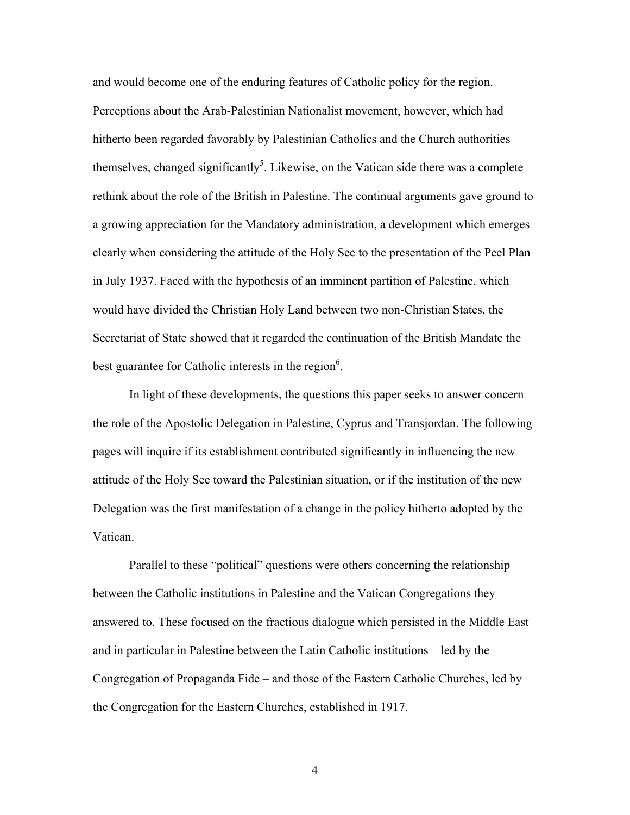and would become one of the enduring features of Catholic policy for the region. Perceptions about the Arab-Palestinian Nationalist movement, however, which had hitherto been regarded favorably by Palestinian Catholics and the Church authorities themselves, changed significantly<sup>5</sup>. Likewise, on the Vatican side there was a complete rethink about the role of the British in Palestine. The continual arguments gave ground to a growing appreciation for the Mandatory administration, a development which emerges clearly when considering the attitude of the Holy See to the presentation of the Peel Plan in July 1937. Faced with the hypothesis of an imminent partition of Palestine, which would have divided the Christian Holy Land between two non-Christian States, the Secretariat of State showed that it regarded the continuation of the British Mandate the best guarantee for Catholic interests in the region $6$ .

In light of these developments, the questions this paper seeks to answer concern the role of the Apostolic Delegation in Palestine, Cyprus and Transjordan. The following pages will inquire if its establishment contributed significantly in influencing the new attitude of the Holy See toward the Palestinian situation, or if the institution of the new Delegation was the first manifestation of a change in the policy hitherto adopted by the Vatican.

Parallel to these "political" questions were others concerning the relationship between the Catholic institutions in Palestine and the Vatican Congregations they answered to. These focused on the fractious dialogue which persisted in the Middle East and in particular in Palestine between the Latin Catholic institutions – led by the Congregation of Propaganda Fide – and those of the Eastern Catholic Churches, led by the Congregation for the Eastern Churches, established in 1917.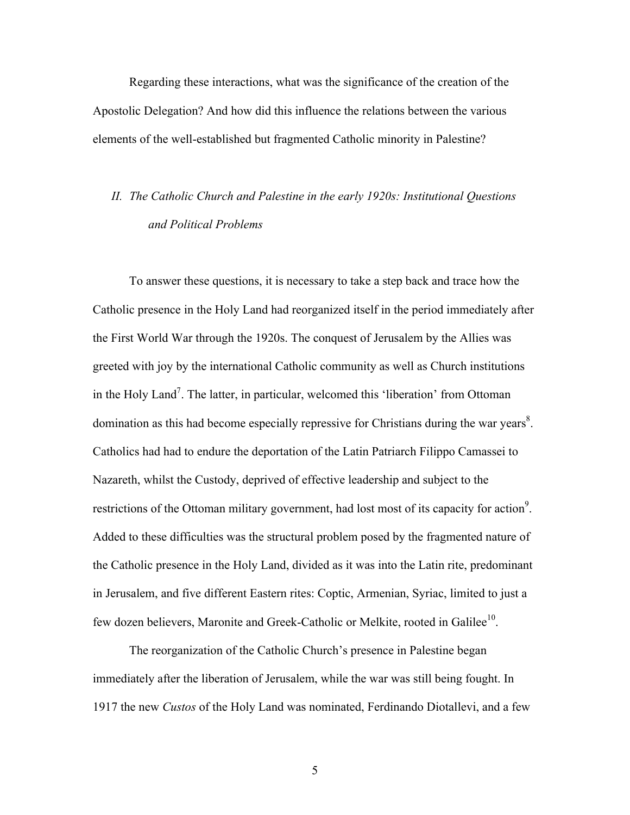Regarding these interactions, what was the significance of the creation of the Apostolic Delegation? And how did this influence the relations between the various elements of the well-established but fragmented Catholic minority in Palestine?

# *II. The Catholic Church and Palestine in the early 1920s: Institutional Questions and Political Problems*

To answer these questions, it is necessary to take a step back and trace how the Catholic presence in the Holy Land had reorganized itself in the period immediately after the First World War through the 1920s. The conquest of Jerusalem by the Allies was greeted with joy by the international Catholic community as well as Church institutions in the Holy Land<sup>7</sup>. The latter, in particular, welcomed this 'liberation' from Ottoman domination as this had become especially repressive for Christians during the war years $\delta$ . Catholics had had to endure the deportation of the Latin Patriarch Filippo Camassei to Nazareth, whilst the Custody, deprived of effective leadership and subject to the restrictions of the Ottoman military government, had lost most of its capacity for action<sup>9</sup>. Added to these difficulties was the structural problem posed by the fragmented nature of the Catholic presence in the Holy Land, divided as it was into the Latin rite, predominant in Jerusalem, and five different Eastern rites: Coptic, Armenian, Syriac, limited to just a few dozen believers, Maronite and Greek-Catholic or Melkite, rooted in Galilee<sup>10</sup>.

The reorganization of the Catholic Church's presence in Palestine began immediately after the liberation of Jerusalem, while the war was still being fought. In 1917 the new *Custos* of the Holy Land was nominated, Ferdinando Diotallevi, and a few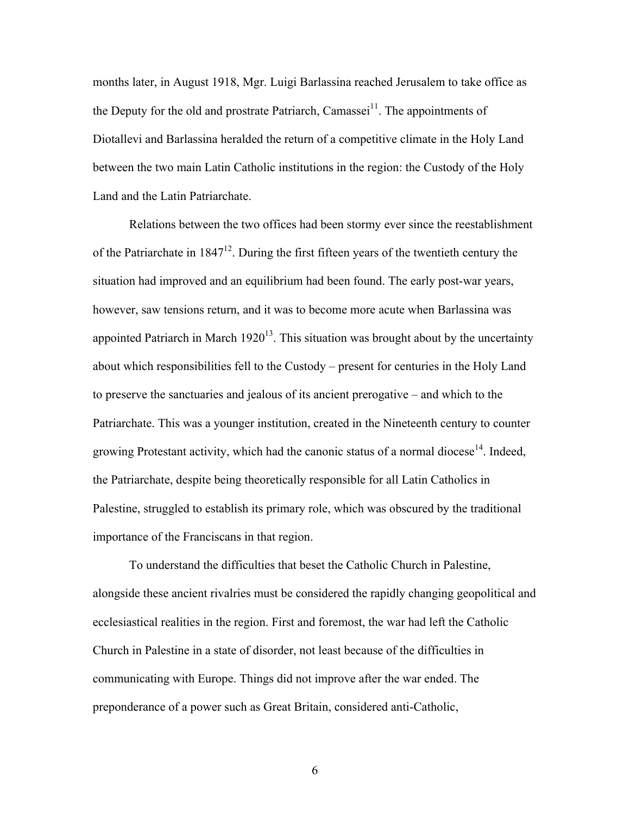months later, in August 1918, Mgr. Luigi Barlassina reached Jerusalem to take office as the Deputy for the old and prostrate Patriarch, Camassei<sup>11</sup>. The appointments of Diotallevi and Barlassina heralded the return of a competitive climate in the Holy Land between the two main Latin Catholic institutions in the region: the Custody of the Holy Land and the Latin Patriarchate.

Relations between the two offices had been stormy ever since the reestablishment of the Patriarchate in  $1847^{12}$ . During the first fifteen years of the twentieth century the situation had improved and an equilibrium had been found. The early post-war years, however, saw tensions return, and it was to become more acute when Barlassina was appointed Patriarch in March  $1920^{13}$ . This situation was brought about by the uncertainty about which responsibilities fell to the Custody – present for centuries in the Holy Land to preserve the sanctuaries and jealous of its ancient prerogative – and which to the Patriarchate. This was a younger institution, created in the Nineteenth century to counter growing Protestant activity, which had the canonic status of a normal diocese<sup>14</sup>. Indeed, the Patriarchate, despite being theoretically responsible for all Latin Catholics in Palestine, struggled to establish its primary role, which was obscured by the traditional importance of the Franciscans in that region.

To understand the difficulties that beset the Catholic Church in Palestine, alongside these ancient rivalries must be considered the rapidly changing geopolitical and ecclesiastical realities in the region. First and foremost, the war had left the Catholic Church in Palestine in a state of disorder, not least because of the difficulties in communicating with Europe. Things did not improve after the war ended. The preponderance of a power such as Great Britain, considered anti-Catholic,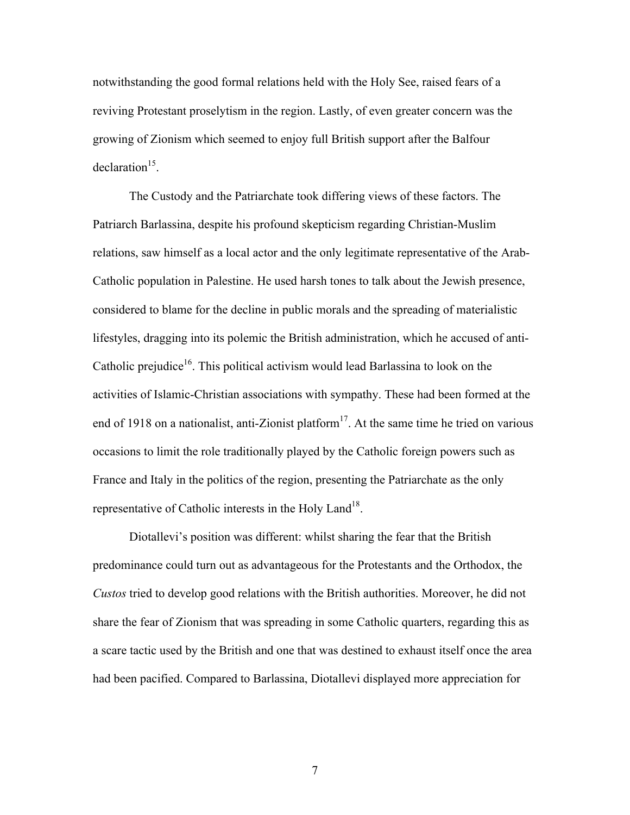notwithstanding the good formal relations held with the Holy See, raised fears of a reviving Protestant proselytism in the region. Lastly, of even greater concern was the growing of Zionism which seemed to enjoy full British support after the Balfour  $declaration<sup>15</sup>$ .

The Custody and the Patriarchate took differing views of these factors. The Patriarch Barlassina, despite his profound skepticism regarding Christian-Muslim relations, saw himself as a local actor and the only legitimate representative of the Arab-Catholic population in Palestine. He used harsh tones to talk about the Jewish presence, considered to blame for the decline in public morals and the spreading of materialistic lifestyles, dragging into its polemic the British administration, which he accused of anti-Catholic prejudice<sup>16</sup>. This political activism would lead Barlassina to look on the activities of Islamic-Christian associations with sympathy. These had been formed at the end of 1918 on a nationalist, anti-Zionist platform<sup>17</sup>. At the same time he tried on various occasions to limit the role traditionally played by the Catholic foreign powers such as France and Italy in the politics of the region, presenting the Patriarchate as the only representative of Catholic interests in the Holy Land<sup>18</sup>.

Diotallevi's position was different: whilst sharing the fear that the British predominance could turn out as advantageous for the Protestants and the Orthodox, the *Custos* tried to develop good relations with the British authorities. Moreover, he did not share the fear of Zionism that was spreading in some Catholic quarters, regarding this as a scare tactic used by the British and one that was destined to exhaust itself once the area had been pacified. Compared to Barlassina, Diotallevi displayed more appreciation for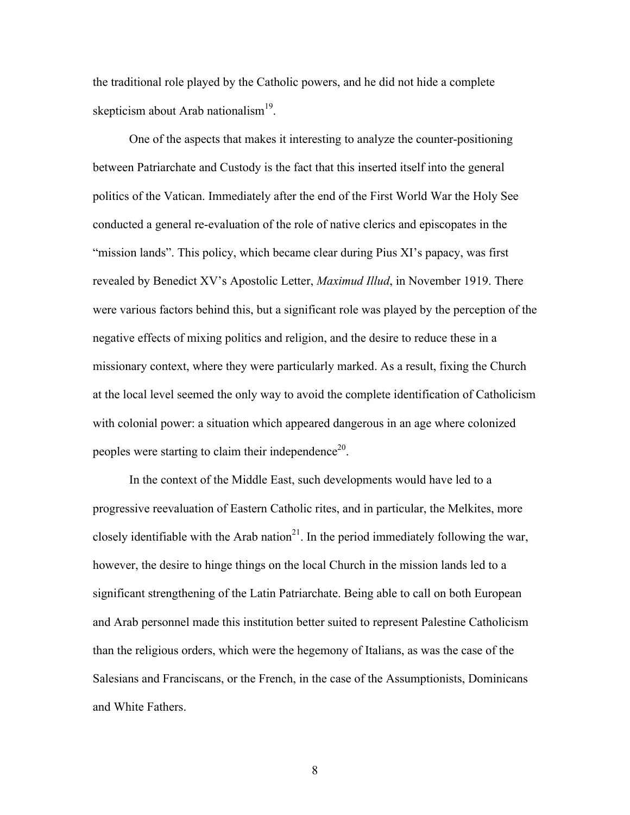the traditional role played by the Catholic powers, and he did not hide a complete skepticism about Arab nationalism $19$ .

One of the aspects that makes it interesting to analyze the counter-positioning between Patriarchate and Custody is the fact that this inserted itself into the general politics of the Vatican. Immediately after the end of the First World War the Holy See conducted a general re-evaluation of the role of native clerics and episcopates in the "mission lands". This policy, which became clear during Pius XI's papacy, was first revealed by Benedict XV's Apostolic Letter, *Maximud Illud*, in November 1919. There were various factors behind this, but a significant role was played by the perception of the negative effects of mixing politics and religion, and the desire to reduce these in a missionary context, where they were particularly marked. As a result, fixing the Church at the local level seemed the only way to avoid the complete identification of Catholicism with colonial power: a situation which appeared dangerous in an age where colonized peoples were starting to claim their independence<sup>20</sup>.

In the context of the Middle East, such developments would have led to a progressive reevaluation of Eastern Catholic rites, and in particular, the Melkites, more closely identifiable with the Arab nation<sup>21</sup>. In the period immediately following the war, however, the desire to hinge things on the local Church in the mission lands led to a significant strengthening of the Latin Patriarchate. Being able to call on both European and Arab personnel made this institution better suited to represent Palestine Catholicism than the religious orders, which were the hegemony of Italians, as was the case of the Salesians and Franciscans, or the French, in the case of the Assumptionists, Dominicans and White Fathers.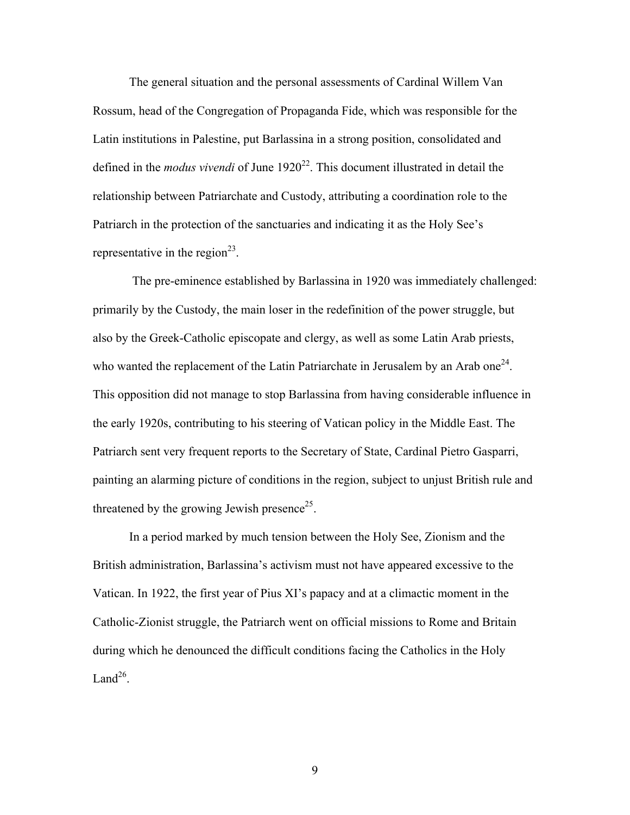The general situation and the personal assessments of Cardinal Willem Van Rossum, head of the Congregation of Propaganda Fide, which was responsible for the Latin institutions in Palestine, put Barlassina in a strong position, consolidated and defined in the *modus vivendi* of June 1920<sup>22</sup>. This document illustrated in detail the relationship between Patriarchate and Custody, attributing a coordination role to the Patriarch in the protection of the sanctuaries and indicating it as the Holy See's representative in the region<sup>23</sup>.

The pre-eminence established by Barlassina in 1920 was immediately challenged: primarily by the Custody, the main loser in the redefinition of the power struggle, but also by the Greek-Catholic episcopate and clergy, as well as some Latin Arab priests, who wanted the replacement of the Latin Patriarchate in Jerusalem by an Arab one<sup>24</sup>. This opposition did not manage to stop Barlassina from having considerable influence in the early 1920s, contributing to his steering of Vatican policy in the Middle East. The Patriarch sent very frequent reports to the Secretary of State, Cardinal Pietro Gasparri, painting an alarming picture of conditions in the region, subject to unjust British rule and threatened by the growing Jewish presence<sup>25</sup>.

In a period marked by much tension between the Holy See, Zionism and the British administration, Barlassina's activism must not have appeared excessive to the Vatican. In 1922, the first year of Pius XI's papacy and at a climactic moment in the Catholic-Zionist struggle, the Patriarch went on official missions to Rome and Britain during which he denounced the difficult conditions facing the Catholics in the Holy Land $^{26}$ .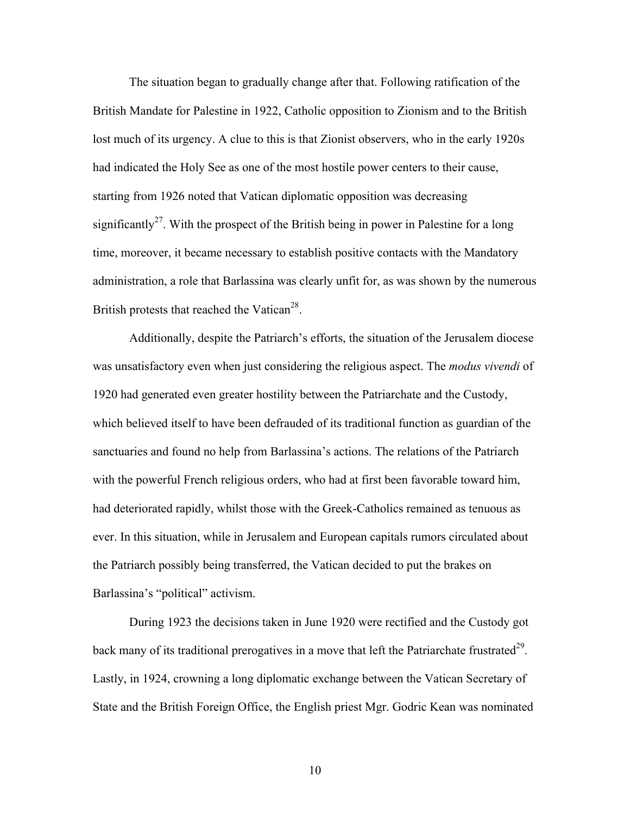The situation began to gradually change after that. Following ratification of the British Mandate for Palestine in 1922, Catholic opposition to Zionism and to the British lost much of its urgency. A clue to this is that Zionist observers, who in the early 1920s had indicated the Holy See as one of the most hostile power centers to their cause, starting from 1926 noted that Vatican diplomatic opposition was decreasing significantly<sup>27</sup>. With the prospect of the British being in power in Palestine for a long time, moreover, it became necessary to establish positive contacts with the Mandatory administration, a role that Barlassina was clearly unfit for, as was shown by the numerous British protests that reached the Vatican<sup>28</sup>.

Additionally, despite the Patriarch's efforts, the situation of the Jerusalem diocese was unsatisfactory even when just considering the religious aspect. The *modus vivendi* of 1920 had generated even greater hostility between the Patriarchate and the Custody, which believed itself to have been defrauded of its traditional function as guardian of the sanctuaries and found no help from Barlassina's actions. The relations of the Patriarch with the powerful French religious orders, who had at first been favorable toward him, had deteriorated rapidly, whilst those with the Greek-Catholics remained as tenuous as ever. In this situation, while in Jerusalem and European capitals rumors circulated about the Patriarch possibly being transferred, the Vatican decided to put the brakes on Barlassina's "political" activism.

During 1923 the decisions taken in June 1920 were rectified and the Custody got back many of its traditional prerogatives in a move that left the Patriarchate frustrated<sup>29</sup>. Lastly, in 1924, crowning a long diplomatic exchange between the Vatican Secretary of State and the British Foreign Office, the English priest Mgr. Godric Kean was nominated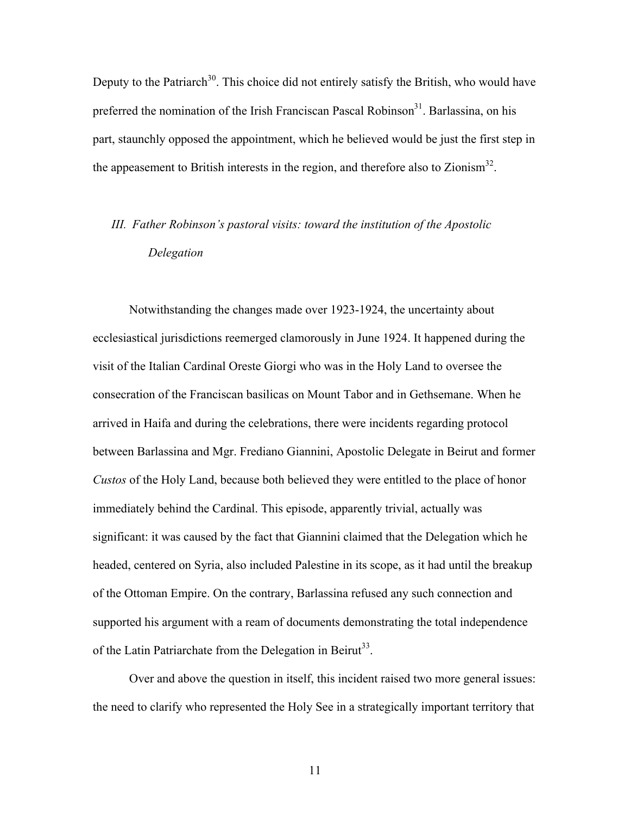Deputy to the Patriarch<sup>30</sup>. This choice did not entirely satisfy the British, who would have preferred the nomination of the Irish Franciscan Pascal Robinson<sup>31</sup>. Barlassina, on his part, staunchly opposed the appointment, which he believed would be just the first step in the appeasement to British interests in the region, and therefore also to Zionism<sup>32</sup>.

## *III. Father Robinson's pastoral visits: toward the institution of the Apostolic Delegation*

Notwithstanding the changes made over 1923-1924, the uncertainty about ecclesiastical jurisdictions reemerged clamorously in June 1924. It happened during the visit of the Italian Cardinal Oreste Giorgi who was in the Holy Land to oversee the consecration of the Franciscan basilicas on Mount Tabor and in Gethsemane. When he arrived in Haifa and during the celebrations, there were incidents regarding protocol between Barlassina and Mgr. Frediano Giannini, Apostolic Delegate in Beirut and former *Custos* of the Holy Land, because both believed they were entitled to the place of honor immediately behind the Cardinal. This episode, apparently trivial, actually was significant: it was caused by the fact that Giannini claimed that the Delegation which he headed, centered on Syria, also included Palestine in its scope, as it had until the breakup of the Ottoman Empire. On the contrary, Barlassina refused any such connection and supported his argument with a ream of documents demonstrating the total independence of the Latin Patriarchate from the Delegation in Beirut<sup>33</sup>.

Over and above the question in itself, this incident raised two more general issues: the need to clarify who represented the Holy See in a strategically important territory that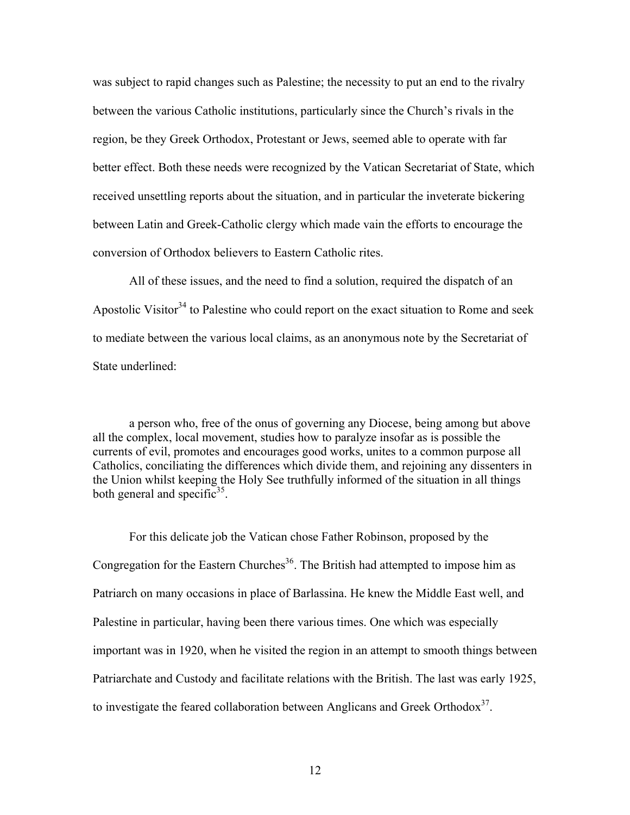was subject to rapid changes such as Palestine; the necessity to put an end to the rivalry between the various Catholic institutions, particularly since the Church's rivals in the region, be they Greek Orthodox, Protestant or Jews, seemed able to operate with far better effect. Both these needs were recognized by the Vatican Secretariat of State, which received unsettling reports about the situation, and in particular the inveterate bickering between Latin and Greek-Catholic clergy which made vain the efforts to encourage the conversion of Orthodox believers to Eastern Catholic rites.

All of these issues, and the need to find a solution, required the dispatch of an Apostolic Visitor<sup>34</sup> to Palestine who could report on the exact situation to Rome and seek to mediate between the various local claims, as an anonymous note by the Secretariat of State underlined:

a person who, free of the onus of governing any Diocese, being among but above all the complex, local movement, studies how to paralyze insofar as is possible the currents of evil, promotes and encourages good works, unites to a common purpose all Catholics, conciliating the differences which divide them, and rejoining any dissenters in the Union whilst keeping the Holy See truthfully informed of the situation in all things both general and specific $35$ .

For this delicate job the Vatican chose Father Robinson, proposed by the Congregation for the Eastern Churches<sup>36</sup>. The British had attempted to impose him as Patriarch on many occasions in place of Barlassina. He knew the Middle East well, and Palestine in particular, having been there various times. One which was especially important was in 1920, when he visited the region in an attempt to smooth things between Patriarchate and Custody and facilitate relations with the British. The last was early 1925, to investigate the feared collaboration between Anglicans and Greek Orthodox<sup>37</sup>.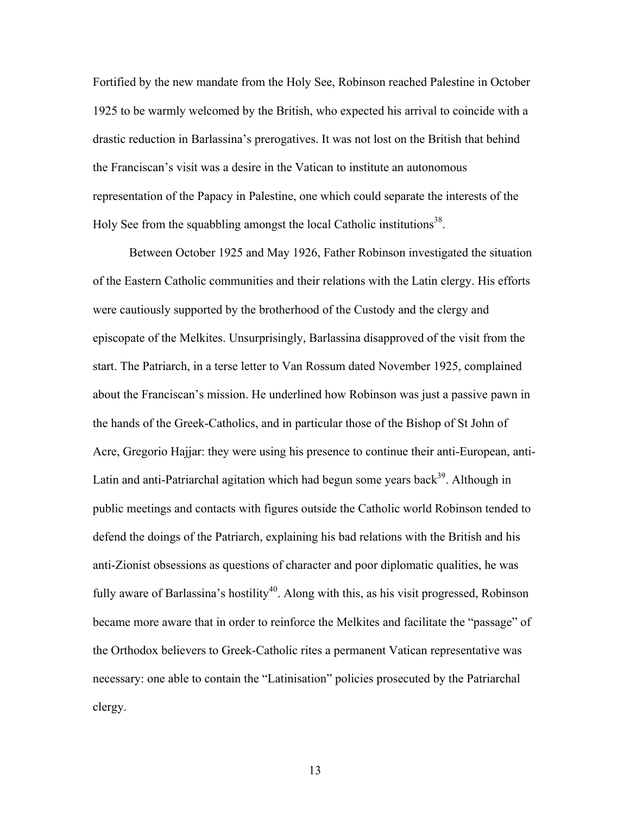Fortified by the new mandate from the Holy See, Robinson reached Palestine in October 1925 to be warmly welcomed by the British, who expected his arrival to coincide with a drastic reduction in Barlassina's prerogatives. It was not lost on the British that behind the Franciscan's visit was a desire in the Vatican to institute an autonomous representation of the Papacy in Palestine, one which could separate the interests of the Holy See from the squabbling amongst the local Catholic institutions<sup>38</sup>.

Between October 1925 and May 1926, Father Robinson investigated the situation of the Eastern Catholic communities and their relations with the Latin clergy. His efforts were cautiously supported by the brotherhood of the Custody and the clergy and episcopate of the Melkites. Unsurprisingly, Barlassina disapproved of the visit from the start. The Patriarch, in a terse letter to Van Rossum dated November 1925, complained about the Franciscan's mission. He underlined how Robinson was just a passive pawn in the hands of the Greek-Catholics, and in particular those of the Bishop of St John of Acre, Gregorio Hajjar: they were using his presence to continue their anti-European, anti-Latin and anti-Patriarchal agitation which had begun some years back<sup>39</sup>. Although in public meetings and contacts with figures outside the Catholic world Robinson tended to defend the doings of the Patriarch, explaining his bad relations with the British and his anti-Zionist obsessions as questions of character and poor diplomatic qualities, he was fully aware of Barlassina's hostility<sup>40</sup>. Along with this, as his visit progressed, Robinson became more aware that in order to reinforce the Melkites and facilitate the "passage" of the Orthodox believers to Greek-Catholic rites a permanent Vatican representative was necessary: one able to contain the "Latinisation" policies prosecuted by the Patriarchal clergy.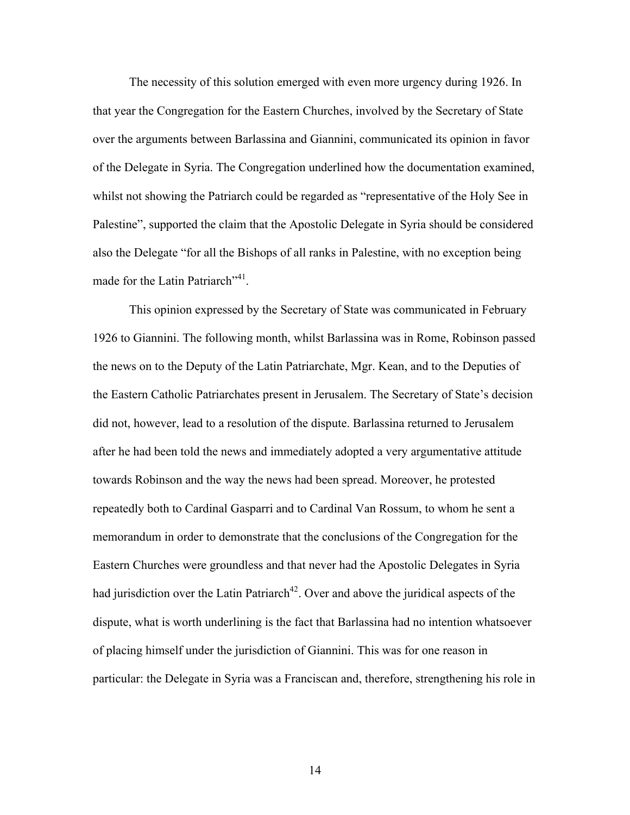The necessity of this solution emerged with even more urgency during 1926. In that year the Congregation for the Eastern Churches, involved by the Secretary of State over the arguments between Barlassina and Giannini, communicated its opinion in favor of the Delegate in Syria. The Congregation underlined how the documentation examined, whilst not showing the Patriarch could be regarded as "representative of the Holy See in Palestine", supported the claim that the Apostolic Delegate in Syria should be considered also the Delegate "for all the Bishops of all ranks in Palestine, with no exception being made for the Latin Patriarch"<sup>41</sup>.

This opinion expressed by the Secretary of State was communicated in February 1926 to Giannini. The following month, whilst Barlassina was in Rome, Robinson passed the news on to the Deputy of the Latin Patriarchate, Mgr. Kean, and to the Deputies of the Eastern Catholic Patriarchates present in Jerusalem. The Secretary of State's decision did not, however, lead to a resolution of the dispute. Barlassina returned to Jerusalem after he had been told the news and immediately adopted a very argumentative attitude towards Robinson and the way the news had been spread. Moreover, he protested repeatedly both to Cardinal Gasparri and to Cardinal Van Rossum, to whom he sent a memorandum in order to demonstrate that the conclusions of the Congregation for the Eastern Churches were groundless and that never had the Apostolic Delegates in Syria had jurisdiction over the Latin Patriarch<sup>42</sup>. Over and above the juridical aspects of the dispute, what is worth underlining is the fact that Barlassina had no intention whatsoever of placing himself under the jurisdiction of Giannini. This was for one reason in particular: the Delegate in Syria was a Franciscan and, therefore, strengthening his role in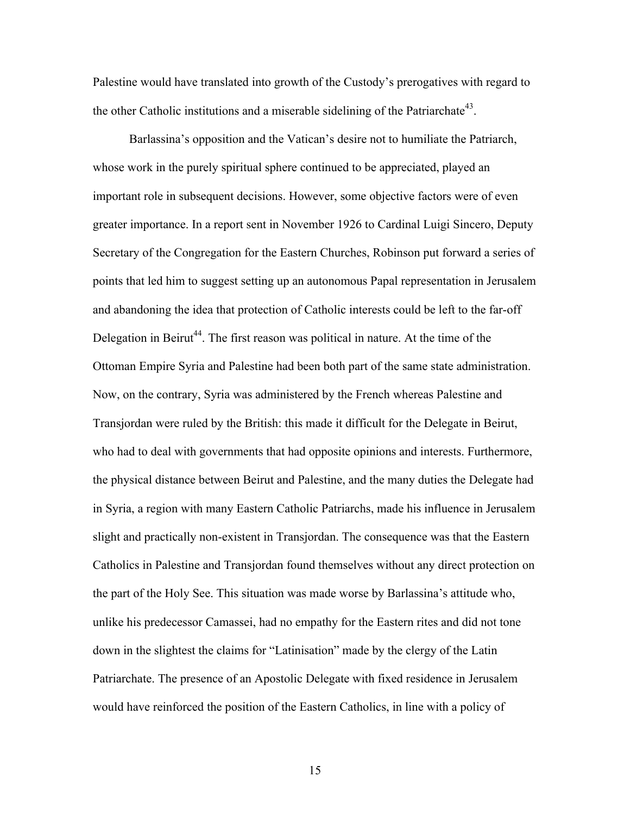Palestine would have translated into growth of the Custody's prerogatives with regard to the other Catholic institutions and a miserable sidelining of the Patriarchate<sup>43</sup>.

Barlassina's opposition and the Vatican's desire not to humiliate the Patriarch, whose work in the purely spiritual sphere continued to be appreciated, played an important role in subsequent decisions. However, some objective factors were of even greater importance. In a report sent in November 1926 to Cardinal Luigi Sincero, Deputy Secretary of the Congregation for the Eastern Churches, Robinson put forward a series of points that led him to suggest setting up an autonomous Papal representation in Jerusalem and abandoning the idea that protection of Catholic interests could be left to the far-off Delegation in Beirut<sup>44</sup>. The first reason was political in nature. At the time of the Ottoman Empire Syria and Palestine had been both part of the same state administration. Now, on the contrary, Syria was administered by the French whereas Palestine and Transjordan were ruled by the British: this made it difficult for the Delegate in Beirut, who had to deal with governments that had opposite opinions and interests. Furthermore, the physical distance between Beirut and Palestine, and the many duties the Delegate had in Syria, a region with many Eastern Catholic Patriarchs, made his influence in Jerusalem slight and practically non-existent in Transjordan. The consequence was that the Eastern Catholics in Palestine and Transjordan found themselves without any direct protection on the part of the Holy See. This situation was made worse by Barlassina's attitude who, unlike his predecessor Camassei, had no empathy for the Eastern rites and did not tone down in the slightest the claims for "Latinisation" made by the clergy of the Latin Patriarchate. The presence of an Apostolic Delegate with fixed residence in Jerusalem would have reinforced the position of the Eastern Catholics, in line with a policy of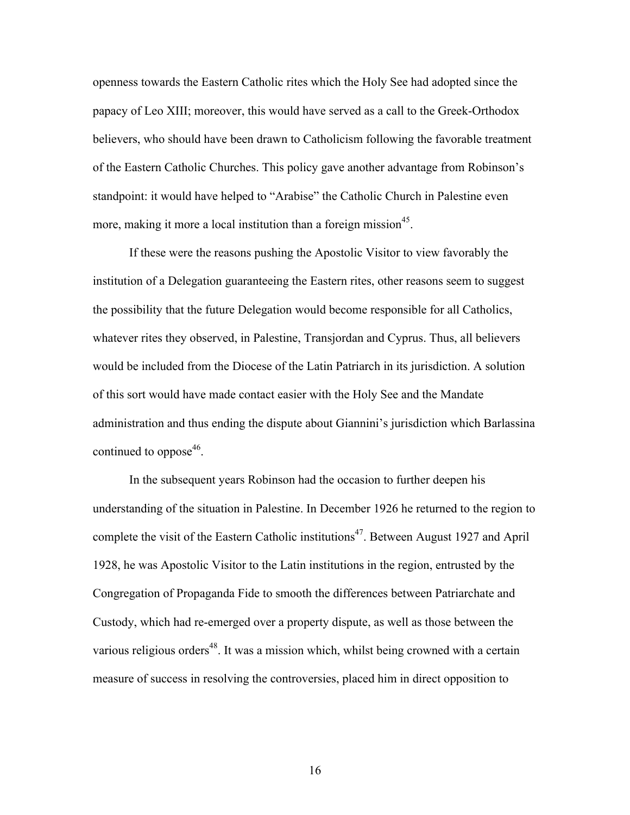openness towards the Eastern Catholic rites which the Holy See had adopted since the papacy of Leo XIII; moreover, this would have served as a call to the Greek-Orthodox believers, who should have been drawn to Catholicism following the favorable treatment of the Eastern Catholic Churches. This policy gave another advantage from Robinson's standpoint: it would have helped to "Arabise" the Catholic Church in Palestine even more, making it more a local institution than a foreign mission<sup>45</sup>.

If these were the reasons pushing the Apostolic Visitor to view favorably the institution of a Delegation guaranteeing the Eastern rites, other reasons seem to suggest the possibility that the future Delegation would become responsible for all Catholics, whatever rites they observed, in Palestine, Transjordan and Cyprus. Thus, all believers would be included from the Diocese of the Latin Patriarch in its jurisdiction. A solution of this sort would have made contact easier with the Holy See and the Mandate administration and thus ending the dispute about Giannini's jurisdiction which Barlassina continued to oppose<sup>46</sup>.

In the subsequent years Robinson had the occasion to further deepen his understanding of the situation in Palestine. In December 1926 he returned to the region to complete the visit of the Eastern Catholic institutions<sup>47</sup>. Between August 1927 and April 1928, he was Apostolic Visitor to the Latin institutions in the region, entrusted by the Congregation of Propaganda Fide to smooth the differences between Patriarchate and Custody, which had re-emerged over a property dispute, as well as those between the various religious orders<sup>48</sup>. It was a mission which, whilst being crowned with a certain measure of success in resolving the controversies, placed him in direct opposition to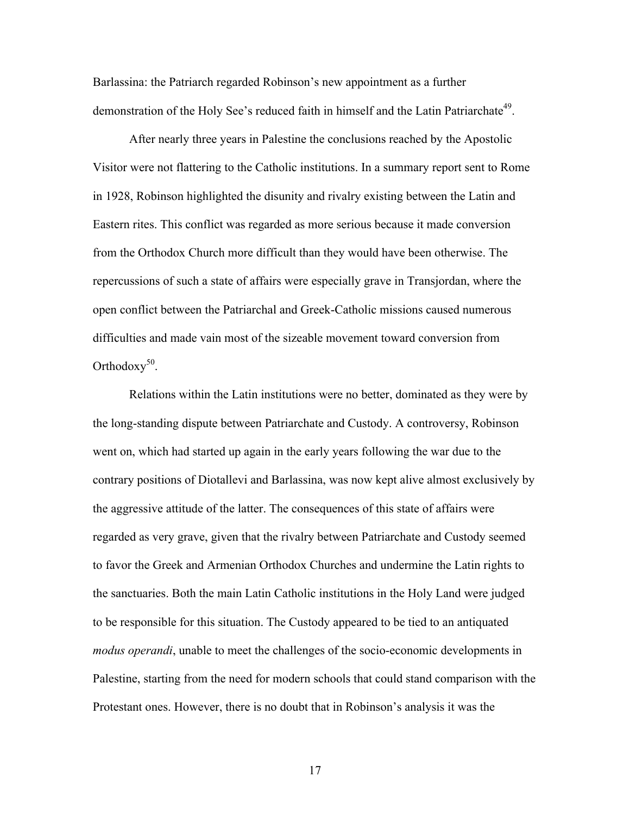Barlassina: the Patriarch regarded Robinson's new appointment as a further demonstration of the Holy See's reduced faith in himself and the Latin Patriarchate<sup>49</sup>.

After nearly three years in Palestine the conclusions reached by the Apostolic Visitor were not flattering to the Catholic institutions. In a summary report sent to Rome in 1928, Robinson highlighted the disunity and rivalry existing between the Latin and Eastern rites. This conflict was regarded as more serious because it made conversion from the Orthodox Church more difficult than they would have been otherwise. The repercussions of such a state of affairs were especially grave in Transjordan, where the open conflict between the Patriarchal and Greek-Catholic missions caused numerous difficulties and made vain most of the sizeable movement toward conversion from Orthodoxy<sup>50</sup>.

Relations within the Latin institutions were no better, dominated as they were by the long-standing dispute between Patriarchate and Custody. A controversy, Robinson went on, which had started up again in the early years following the war due to the contrary positions of Diotallevi and Barlassina, was now kept alive almost exclusively by the aggressive attitude of the latter. The consequences of this state of affairs were regarded as very grave, given that the rivalry between Patriarchate and Custody seemed to favor the Greek and Armenian Orthodox Churches and undermine the Latin rights to the sanctuaries. Both the main Latin Catholic institutions in the Holy Land were judged to be responsible for this situation. The Custody appeared to be tied to an antiquated *modus operandi*, unable to meet the challenges of the socio-economic developments in Palestine, starting from the need for modern schools that could stand comparison with the Protestant ones. However, there is no doubt that in Robinson's analysis it was the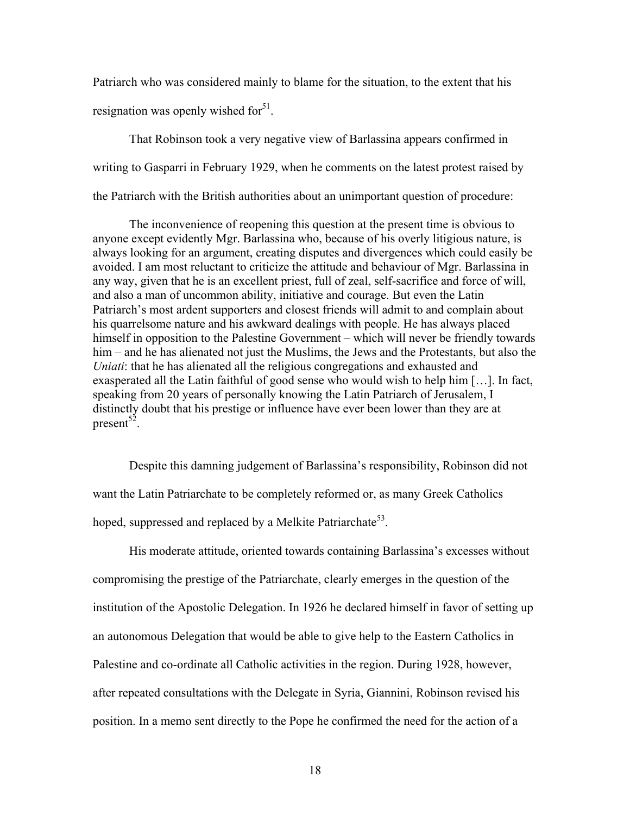Patriarch who was considered mainly to blame for the situation, to the extent that his resignation was openly wished for $5<sup>1</sup>$ .

That Robinson took a very negative view of Barlassina appears confirmed in writing to Gasparri in February 1929, when he comments on the latest protest raised by the Patriarch with the British authorities about an unimportant question of procedure:

The inconvenience of reopening this question at the present time is obvious to anyone except evidently Mgr. Barlassina who, because of his overly litigious nature, is always looking for an argument, creating disputes and divergences which could easily be avoided. I am most reluctant to criticize the attitude and behaviour of Mgr. Barlassina in any way, given that he is an excellent priest, full of zeal, self-sacrifice and force of will, and also a man of uncommon ability, initiative and courage. But even the Latin Patriarch's most ardent supporters and closest friends will admit to and complain about his quarrelsome nature and his awkward dealings with people. He has always placed himself in opposition to the Palestine Government – which will never be friendly towards him – and he has alienated not just the Muslims, the Jews and the Protestants, but also the *Uniati*: that he has alienated all the religious congregations and exhausted and exasperated all the Latin faithful of good sense who would wish to help him […]. In fact, speaking from 20 years of personally knowing the Latin Patriarch of Jerusalem, I distinctly doubt that his prestige or influence have ever been lower than they are at present<sup>52</sup>.

Despite this damning judgement of Barlassina's responsibility, Robinson did not want the Latin Patriarchate to be completely reformed or, as many Greek Catholics hoped, suppressed and replaced by a Melkite Patriarchate<sup>53</sup>.

His moderate attitude, oriented towards containing Barlassina's excesses without compromising the prestige of the Patriarchate, clearly emerges in the question of the institution of the Apostolic Delegation. In 1926 he declared himself in favor of setting up an autonomous Delegation that would be able to give help to the Eastern Catholics in Palestine and co-ordinate all Catholic activities in the region. During 1928, however, after repeated consultations with the Delegate in Syria, Giannini, Robinson revised his position. In a memo sent directly to the Pope he confirmed the need for the action of a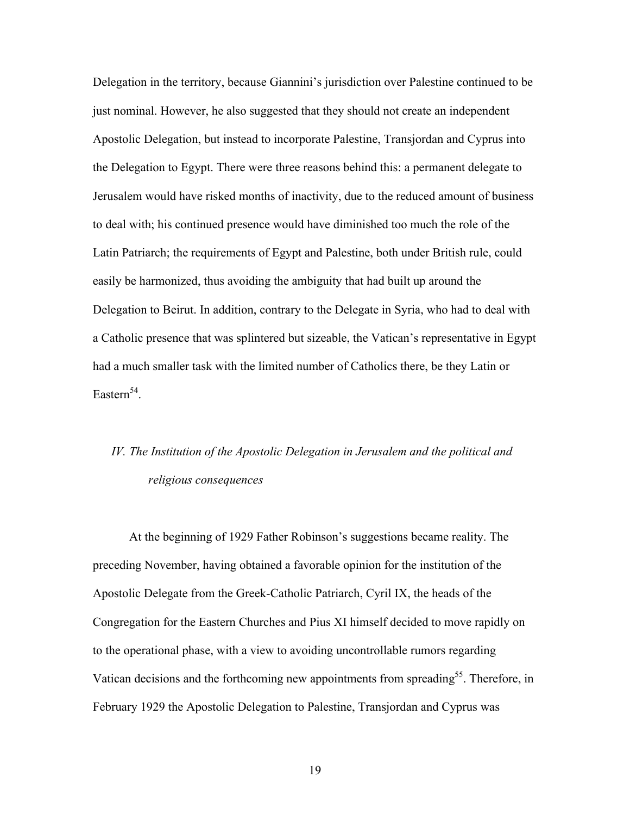Delegation in the territory, because Giannini's jurisdiction over Palestine continued to be just nominal. However, he also suggested that they should not create an independent Apostolic Delegation, but instead to incorporate Palestine, Transjordan and Cyprus into the Delegation to Egypt. There were three reasons behind this: a permanent delegate to Jerusalem would have risked months of inactivity, due to the reduced amount of business to deal with; his continued presence would have diminished too much the role of the Latin Patriarch; the requirements of Egypt and Palestine, both under British rule, could easily be harmonized, thus avoiding the ambiguity that had built up around the Delegation to Beirut. In addition, contrary to the Delegate in Syria, who had to deal with a Catholic presence that was splintered but sizeable, the Vatican's representative in Egypt had a much smaller task with the limited number of Catholics there, be they Latin or Eastern $54$ .

### *IV. The Institution of the Apostolic Delegation in Jerusalem and the political and religious consequences*

At the beginning of 1929 Father Robinson's suggestions became reality. The preceding November, having obtained a favorable opinion for the institution of the Apostolic Delegate from the Greek-Catholic Patriarch, Cyril IX, the heads of the Congregation for the Eastern Churches and Pius XI himself decided to move rapidly on to the operational phase, with a view to avoiding uncontrollable rumors regarding Vatican decisions and the forthcoming new appointments from spreading<sup>55</sup>. Therefore, in February 1929 the Apostolic Delegation to Palestine, Transjordan and Cyprus was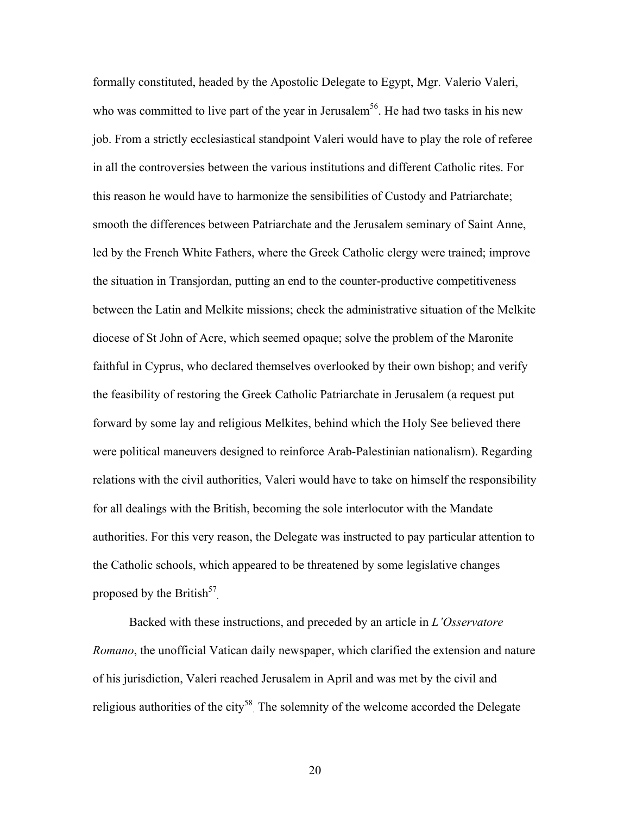formally constituted, headed by the Apostolic Delegate to Egypt, Mgr. Valerio Valeri, who was committed to live part of the year in Jerusalem<sup>56</sup>. He had two tasks in his new job. From a strictly ecclesiastical standpoint Valeri would have to play the role of referee in all the controversies between the various institutions and different Catholic rites. For this reason he would have to harmonize the sensibilities of Custody and Patriarchate; smooth the differences between Patriarchate and the Jerusalem seminary of Saint Anne, led by the French White Fathers, where the Greek Catholic clergy were trained; improve the situation in Transjordan, putting an end to the counter-productive competitiveness between the Latin and Melkite missions; check the administrative situation of the Melkite diocese of St John of Acre, which seemed opaque; solve the problem of the Maronite faithful in Cyprus, who declared themselves overlooked by their own bishop; and verify the feasibility of restoring the Greek Catholic Patriarchate in Jerusalem (a request put forward by some lay and religious Melkites, behind which the Holy See believed there were political maneuvers designed to reinforce Arab-Palestinian nationalism). Regarding relations with the civil authorities, Valeri would have to take on himself the responsibility for all dealings with the British, becoming the sole interlocutor with the Mandate authorities. For this very reason, the Delegate was instructed to pay particular attention to the Catholic schools, which appeared to be threatened by some legislative changes proposed by the British<sup>57</sup>.

Backed with these instructions, and preceded by an article in *L'Osservatore Romano*, the unofficial Vatican daily newspaper, which clarified the extension and nature of his jurisdiction, Valeri reached Jerusalem in April and was met by the civil and religious authorities of the city<sup>58</sup>. The solemnity of the welcome accorded the Delegate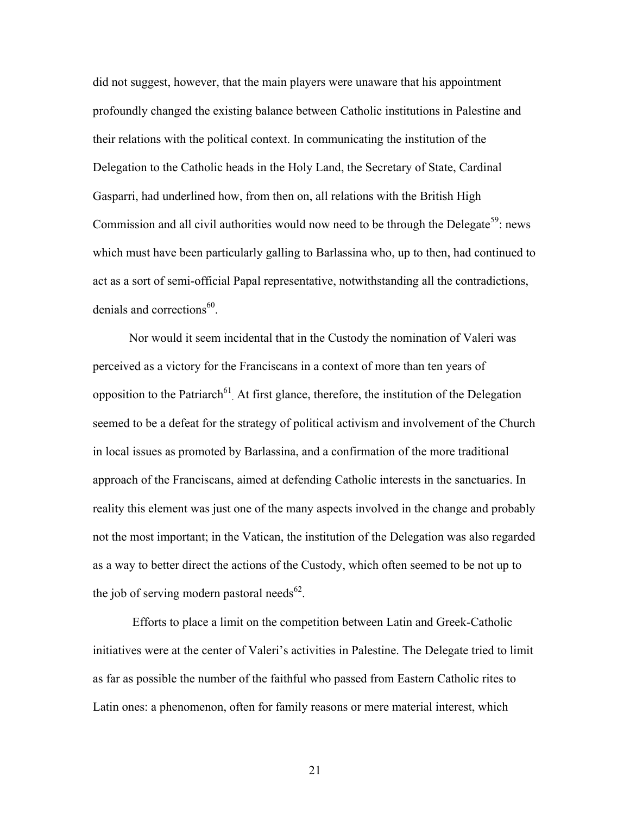did not suggest, however, that the main players were unaware that his appointment profoundly changed the existing balance between Catholic institutions in Palestine and their relations with the political context. In communicating the institution of the Delegation to the Catholic heads in the Holy Land, the Secretary of State, Cardinal Gasparri, had underlined how, from then on, all relations with the British High Commission and all civil authorities would now need to be through the Delegate<sup>59</sup>: news which must have been particularly galling to Barlassina who, up to then, had continued to act as a sort of semi-official Papal representative, notwithstanding all the contradictions, denials and corrections $^{60}$ .

Nor would it seem incidental that in the Custody the nomination of Valeri was perceived as a victory for the Franciscans in a context of more than ten years of opposition to the Patriarch<sup> $61$ </sup> At first glance, therefore, the institution of the Delegation seemed to be a defeat for the strategy of political activism and involvement of the Church in local issues as promoted by Barlassina, and a confirmation of the more traditional approach of the Franciscans, aimed at defending Catholic interests in the sanctuaries. In reality this element was just one of the many aspects involved in the change and probably not the most important; in the Vatican, the institution of the Delegation was also regarded as a way to better direct the actions of the Custody, which often seemed to be not up to the job of serving modern pastoral needs<sup>62</sup>.

Efforts to place a limit on the competition between Latin and Greek-Catholic initiatives were at the center of Valeri's activities in Palestine. The Delegate tried to limit as far as possible the number of the faithful who passed from Eastern Catholic rites to Latin ones: a phenomenon, often for family reasons or mere material interest, which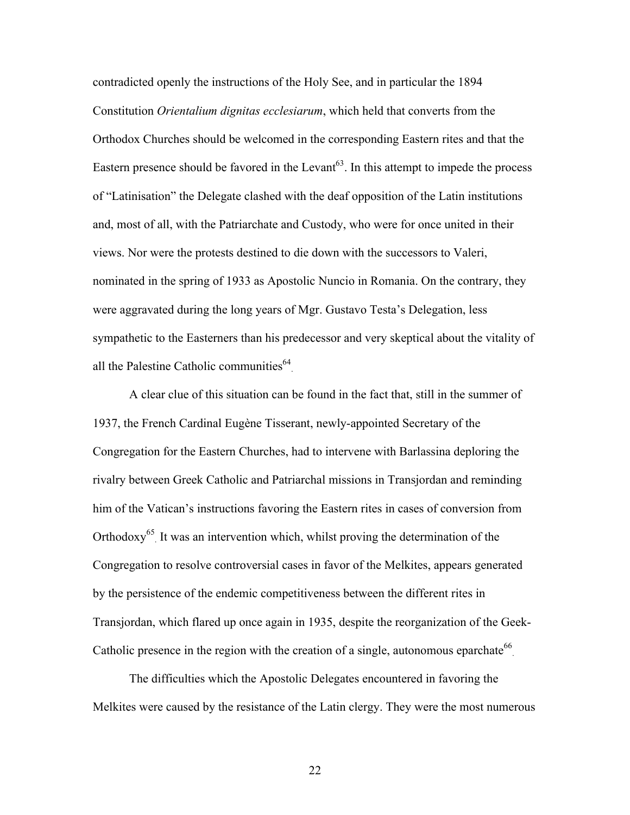contradicted openly the instructions of the Holy See, and in particular the 1894 Constitution *Orientalium dignitas ecclesiarum*, which held that converts from the Orthodox Churches should be welcomed in the corresponding Eastern rites and that the Eastern presence should be favored in the Levant<sup> $63$ </sup>. In this attempt to impede the process of "Latinisation" the Delegate clashed with the deaf opposition of the Latin institutions and, most of all, with the Patriarchate and Custody, who were for once united in their views. Nor were the protests destined to die down with the successors to Valeri, nominated in the spring of 1933 as Apostolic Nuncio in Romania. On the contrary, they were aggravated during the long years of Mgr. Gustavo Testa's Delegation, less sympathetic to the Easterners than his predecessor and very skeptical about the vitality of all the Palestine Catholic communities $^{64}$ .

A clear clue of this situation can be found in the fact that, still in the summer of 1937, the French Cardinal Eugène Tisserant, newly-appointed Secretary of the Congregation for the Eastern Churches, had to intervene with Barlassina deploring the rivalry between Greek Catholic and Patriarchal missions in Transjordan and reminding him of the Vatican's instructions favoring the Eastern rites in cases of conversion from Orthodoxy<sup>65</sup>. It was an intervention which, whilst proving the determination of the Congregation to resolve controversial cases in favor of the Melkites, appears generated by the persistence of the endemic competitiveness between the different rites in Transjordan, which flared up once again in 1935, despite the reorganization of the Geek-Catholic presence in the region with the creation of a single, autonomous eparchate<sup>66</sup>.

The difficulties which the Apostolic Delegates encountered in favoring the Melkites were caused by the resistance of the Latin clergy. They were the most numerous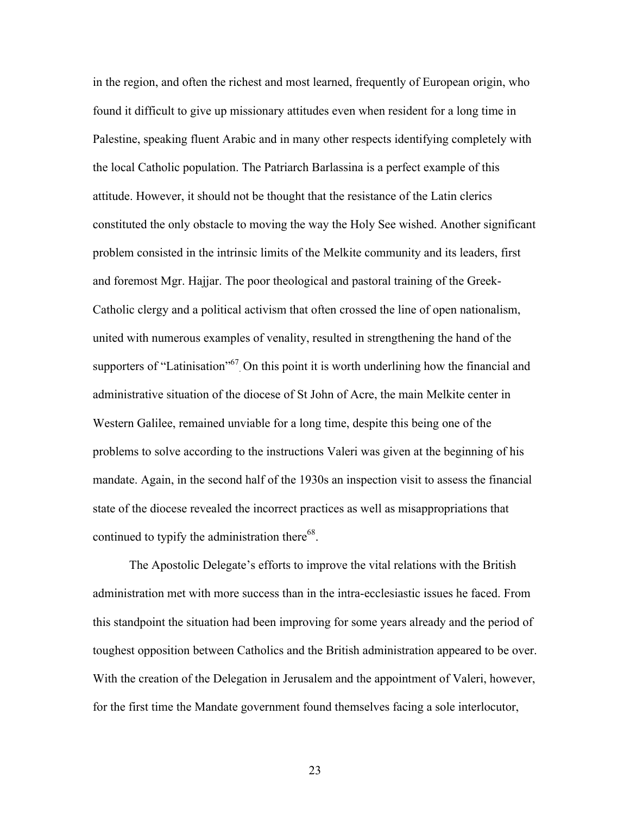in the region, and often the richest and most learned, frequently of European origin, who found it difficult to give up missionary attitudes even when resident for a long time in Palestine, speaking fluent Arabic and in many other respects identifying completely with the local Catholic population. The Patriarch Barlassina is a perfect example of this attitude. However, it should not be thought that the resistance of the Latin clerics constituted the only obstacle to moving the way the Holy See wished. Another significant problem consisted in the intrinsic limits of the Melkite community and its leaders, first and foremost Mgr. Hajjar. The poor theological and pastoral training of the Greek-Catholic clergy and a political activism that often crossed the line of open nationalism, united with numerous examples of venality, resulted in strengthening the hand of the supporters of "Latinisation"<sup>67</sup>. On this point it is worth underlining how the financial and administrative situation of the diocese of St John of Acre, the main Melkite center in Western Galilee, remained unviable for a long time, despite this being one of the problems to solve according to the instructions Valeri was given at the beginning of his mandate. Again, in the second half of the 1930s an inspection visit to assess the financial state of the diocese revealed the incorrect practices as well as misappropriations that continued to typify the administration there<sup>68</sup>.

The Apostolic Delegate's efforts to improve the vital relations with the British administration met with more success than in the intra-ecclesiastic issues he faced. From this standpoint the situation had been improving for some years already and the period of toughest opposition between Catholics and the British administration appeared to be over. With the creation of the Delegation in Jerusalem and the appointment of Valeri, however, for the first time the Mandate government found themselves facing a sole interlocutor,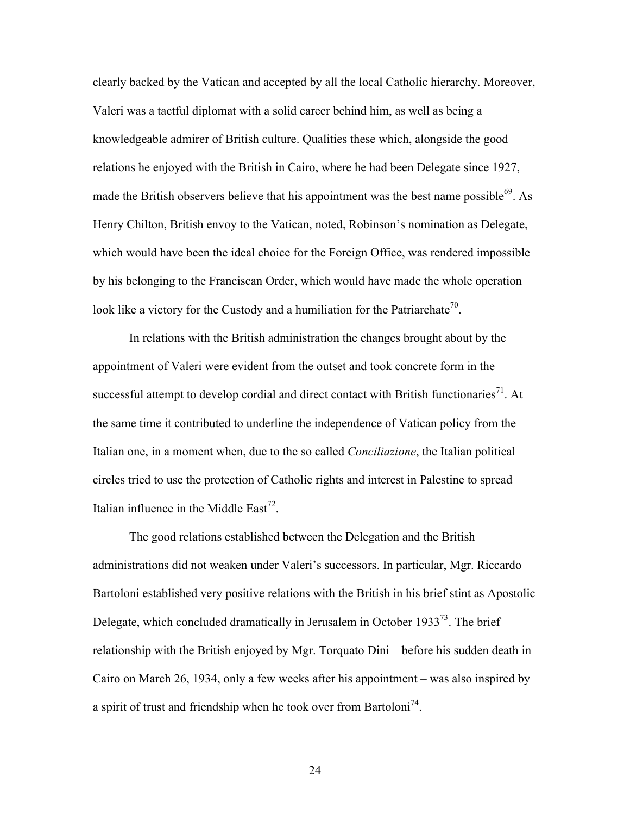clearly backed by the Vatican and accepted by all the local Catholic hierarchy. Moreover, Valeri was a tactful diplomat with a solid career behind him, as well as being a knowledgeable admirer of British culture. Qualities these which, alongside the good relations he enjoyed with the British in Cairo, where he had been Delegate since 1927, made the British observers believe that his appointment was the best name possible<sup>69</sup>. As Henry Chilton, British envoy to the Vatican, noted, Robinson's nomination as Delegate, which would have been the ideal choice for the Foreign Office, was rendered impossible by his belonging to the Franciscan Order, which would have made the whole operation look like a victory for the Custody and a humiliation for the Patriarchate<sup>70</sup>.

In relations with the British administration the changes brought about by the appointment of Valeri were evident from the outset and took concrete form in the successful attempt to develop cordial and direct contact with British functionaries<sup>71</sup>. At the same time it contributed to underline the independence of Vatican policy from the Italian one, in a moment when, due to the so called *Conciliazione*, the Italian political circles tried to use the protection of Catholic rights and interest in Palestine to spread Italian influence in the Middle East<sup>72</sup>.

The good relations established between the Delegation and the British administrations did not weaken under Valeri's successors. In particular, Mgr. Riccardo Bartoloni established very positive relations with the British in his brief stint as Apostolic Delegate, which concluded dramatically in Jerusalem in October 1933<sup>73</sup>. The brief relationship with the British enjoyed by Mgr. Torquato Dini – before his sudden death in Cairo on March 26, 1934, only a few weeks after his appointment – was also inspired by a spirit of trust and friendship when he took over from Bartoloni<sup>74</sup>.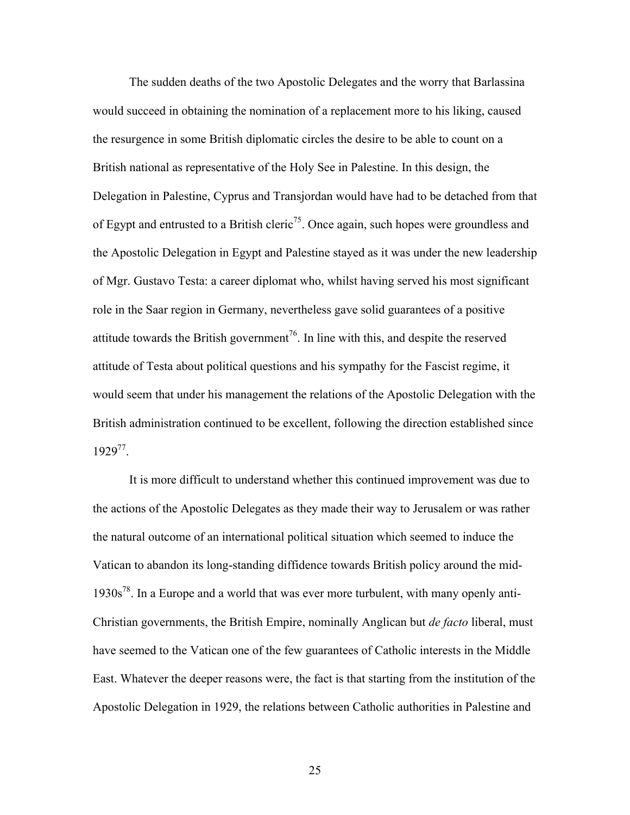The sudden deaths of the two Apostolic Delegates and the worry that Barlassina would succeed in obtaining the nomination of a replacement more to his liking, caused the resurgence in some British diplomatic circles the desire to be able to count on a British national as representative of the Holy See in Palestine. In this design, the Delegation in Palestine, Cyprus and Transjordan would have had to be detached from that of Egypt and entrusted to a British cleric<sup>75</sup>. Once again, such hopes were groundless and the Apostolic Delegation in Egypt and Palestine stayed as it was under the new leadership of Mgr. Gustavo Testa: a career diplomat who, whilst having served his most significant role in the Saar region in Germany, nevertheless gave solid guarantees of a positive attitude towards the British government<sup>76</sup>. In line with this, and despite the reserved attitude of Testa about political questions and his sympathy for the Fascist regime, it would seem that under his management the relations of the Apostolic Delegation with the British administration continued to be excellent, following the direction established since 192977.

It is more difficult to understand whether this continued improvement was due to the actions of the Apostolic Delegates as they made their way to Jerusalem or was rather the natural outcome of an international political situation which seemed to induce the Vatican to abandon its long-standing diffidence towards British policy around the mid-1930s78. In a Europe and a world that was ever more turbulent, with many openly anti-Christian governments, the British Empire, nominally Anglican but *de facto* liberal, must have seemed to the Vatican one of the few guarantees of Catholic interests in the Middle East. Whatever the deeper reasons were, the fact is that starting from the institution of the Apostolic Delegation in 1929, the relations between Catholic authorities in Palestine and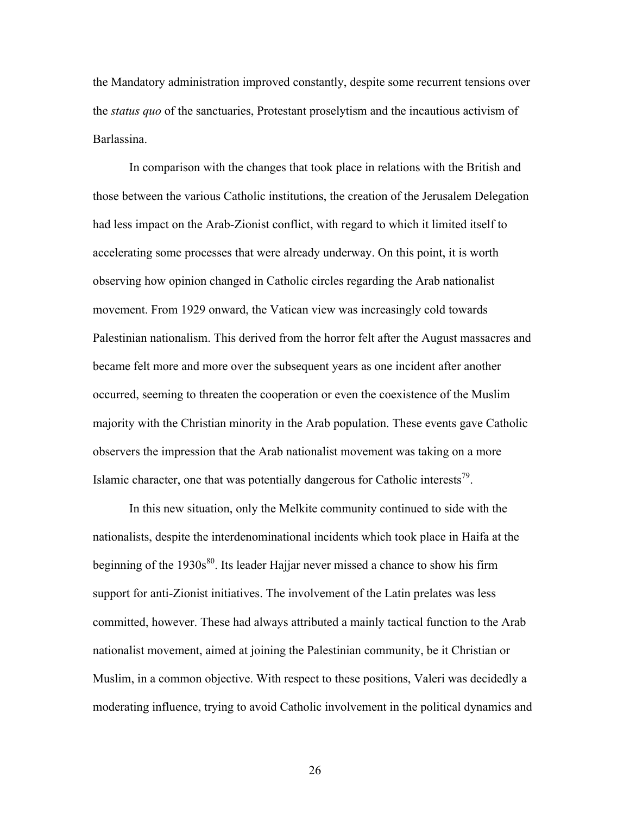the Mandatory administration improved constantly, despite some recurrent tensions over the *status quo* of the sanctuaries, Protestant proselytism and the incautious activism of Barlassina.

In comparison with the changes that took place in relations with the British and those between the various Catholic institutions, the creation of the Jerusalem Delegation had less impact on the Arab-Zionist conflict, with regard to which it limited itself to accelerating some processes that were already underway. On this point, it is worth observing how opinion changed in Catholic circles regarding the Arab nationalist movement. From 1929 onward, the Vatican view was increasingly cold towards Palestinian nationalism. This derived from the horror felt after the August massacres and became felt more and more over the subsequent years as one incident after another occurred, seeming to threaten the cooperation or even the coexistence of the Muslim majority with the Christian minority in the Arab population. These events gave Catholic observers the impression that the Arab nationalist movement was taking on a more Islamic character, one that was potentially dangerous for Catholic interests<sup>79</sup>.

In this new situation, only the Melkite community continued to side with the nationalists, despite the interdenominational incidents which took place in Haifa at the beginning of the  $1930s^{80}$ . Its leader Hajjar never missed a chance to show his firm support for anti-Zionist initiatives. The involvement of the Latin prelates was less committed, however. These had always attributed a mainly tactical function to the Arab nationalist movement, aimed at joining the Palestinian community, be it Christian or Muslim, in a common objective. With respect to these positions, Valeri was decidedly a moderating influence, trying to avoid Catholic involvement in the political dynamics and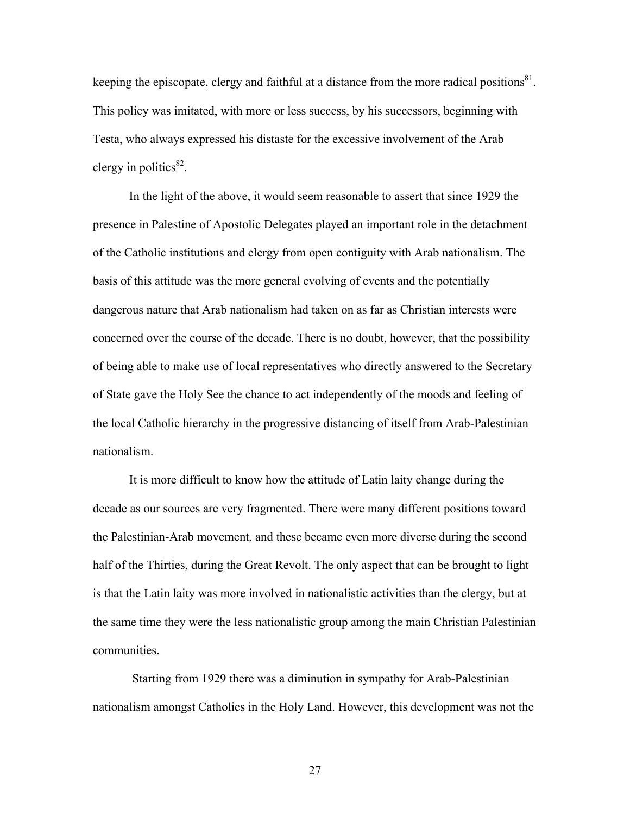keeping the episcopate, clergy and faithful at a distance from the more radical positions<sup>81</sup>. This policy was imitated, with more or less success, by his successors, beginning with Testa, who always expressed his distaste for the excessive involvement of the Arab clergy in politics $^{82}$ .

In the light of the above, it would seem reasonable to assert that since 1929 the presence in Palestine of Apostolic Delegates played an important role in the detachment of the Catholic institutions and clergy from open contiguity with Arab nationalism. The basis of this attitude was the more general evolving of events and the potentially dangerous nature that Arab nationalism had taken on as far as Christian interests were concerned over the course of the decade. There is no doubt, however, that the possibility of being able to make use of local representatives who directly answered to the Secretary of State gave the Holy See the chance to act independently of the moods and feeling of the local Catholic hierarchy in the progressive distancing of itself from Arab-Palestinian nationalism.

It is more difficult to know how the attitude of Latin laity change during the decade as our sources are very fragmented. There were many different positions toward the Palestinian-Arab movement, and these became even more diverse during the second half of the Thirties, during the Great Revolt. The only aspect that can be brought to light is that the Latin laity was more involved in nationalistic activities than the clergy, but at the same time they were the less nationalistic group among the main Christian Palestinian communities.

Starting from 1929 there was a diminution in sympathy for Arab-Palestinian nationalism amongst Catholics in the Holy Land. However, this development was not the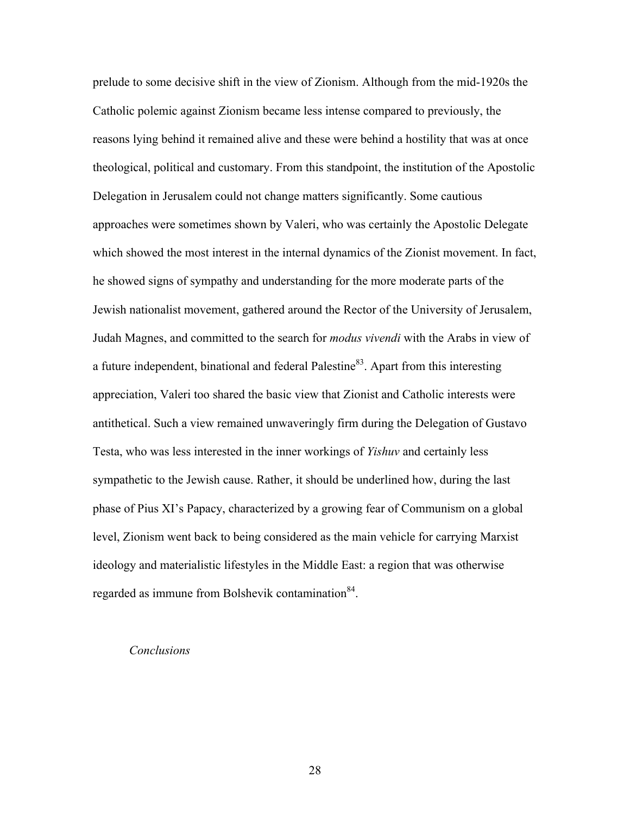prelude to some decisive shift in the view of Zionism. Although from the mid-1920s the Catholic polemic against Zionism became less intense compared to previously, the reasons lying behind it remained alive and these were behind a hostility that was at once theological, political and customary. From this standpoint, the institution of the Apostolic Delegation in Jerusalem could not change matters significantly. Some cautious approaches were sometimes shown by Valeri, who was certainly the Apostolic Delegate which showed the most interest in the internal dynamics of the Zionist movement. In fact, he showed signs of sympathy and understanding for the more moderate parts of the Jewish nationalist movement, gathered around the Rector of the University of Jerusalem, Judah Magnes, and committed to the search for *modus vivendi* with the Arabs in view of a future independent, binational and federal Palestine<sup>83</sup>. Apart from this interesting appreciation, Valeri too shared the basic view that Zionist and Catholic interests were antithetical. Such a view remained unwaveringly firm during the Delegation of Gustavo Testa, who was less interested in the inner workings of *Yishuv* and certainly less sympathetic to the Jewish cause. Rather, it should be underlined how, during the last phase of Pius XI's Papacy, characterized by a growing fear of Communism on a global level, Zionism went back to being considered as the main vehicle for carrying Marxist ideology and materialistic lifestyles in the Middle East: a region that was otherwise regarded as immune from Bolshevik contamination<sup>84</sup>.

#### *Conclusions*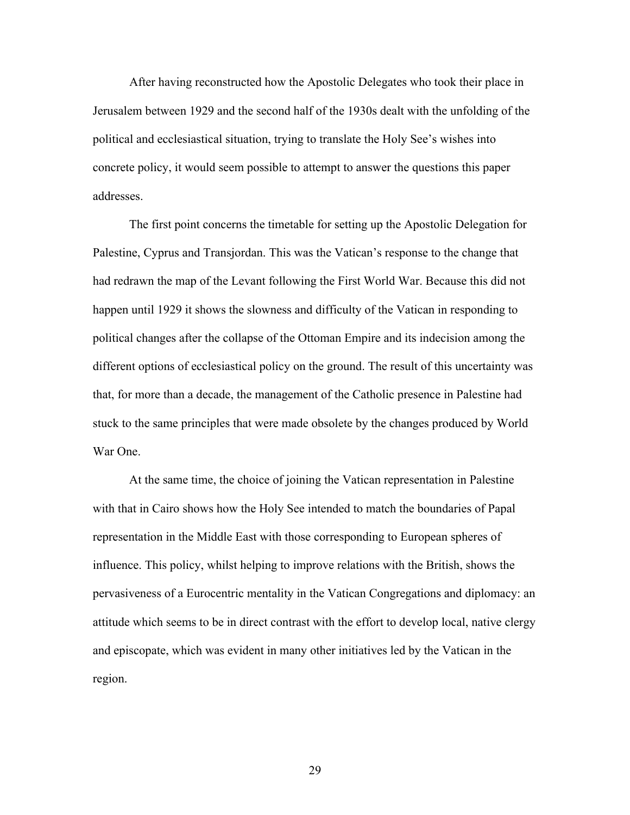After having reconstructed how the Apostolic Delegates who took their place in Jerusalem between 1929 and the second half of the 1930s dealt with the unfolding of the political and ecclesiastical situation, trying to translate the Holy See's wishes into concrete policy, it would seem possible to attempt to answer the questions this paper addresses.

The first point concerns the timetable for setting up the Apostolic Delegation for Palestine, Cyprus and Transjordan. This was the Vatican's response to the change that had redrawn the map of the Levant following the First World War. Because this did not happen until 1929 it shows the slowness and difficulty of the Vatican in responding to political changes after the collapse of the Ottoman Empire and its indecision among the different options of ecclesiastical policy on the ground. The result of this uncertainty was that, for more than a decade, the management of the Catholic presence in Palestine had stuck to the same principles that were made obsolete by the changes produced by World War One.

At the same time, the choice of joining the Vatican representation in Palestine with that in Cairo shows how the Holy See intended to match the boundaries of Papal representation in the Middle East with those corresponding to European spheres of influence. This policy, whilst helping to improve relations with the British, shows the pervasiveness of a Eurocentric mentality in the Vatican Congregations and diplomacy: an attitude which seems to be in direct contrast with the effort to develop local, native clergy and episcopate, which was evident in many other initiatives led by the Vatican in the region.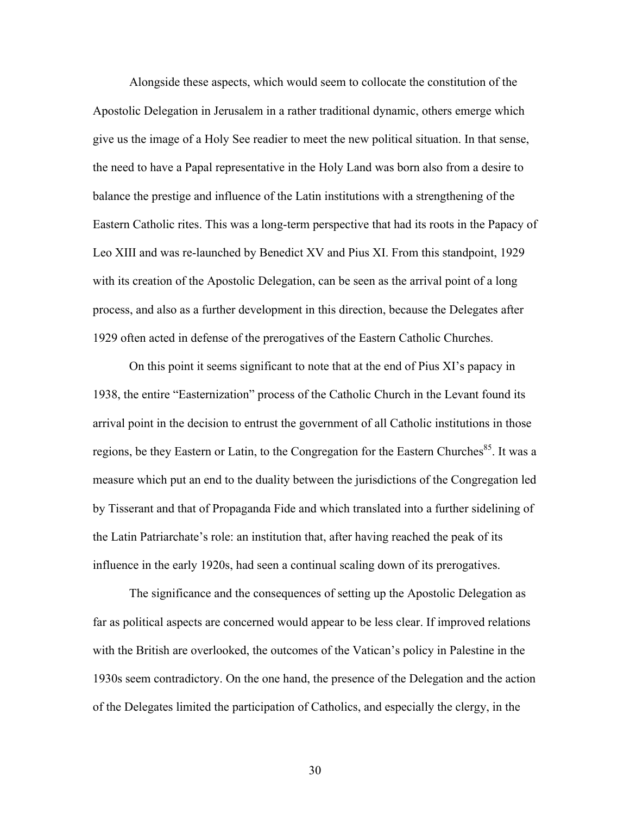Alongside these aspects, which would seem to collocate the constitution of the Apostolic Delegation in Jerusalem in a rather traditional dynamic, others emerge which give us the image of a Holy See readier to meet the new political situation. In that sense, the need to have a Papal representative in the Holy Land was born also from a desire to balance the prestige and influence of the Latin institutions with a strengthening of the Eastern Catholic rites. This was a long-term perspective that had its roots in the Papacy of Leo XIII and was re-launched by Benedict XV and Pius XI. From this standpoint, 1929 with its creation of the Apostolic Delegation, can be seen as the arrival point of a long process, and also as a further development in this direction, because the Delegates after 1929 often acted in defense of the prerogatives of the Eastern Catholic Churches.

On this point it seems significant to note that at the end of Pius XI's papacy in 1938, the entire "Easternization" process of the Catholic Church in the Levant found its arrival point in the decision to entrust the government of all Catholic institutions in those regions, be they Eastern or Latin, to the Congregation for the Eastern Churches<sup>85</sup>. It was a measure which put an end to the duality between the jurisdictions of the Congregation led by Tisserant and that of Propaganda Fide and which translated into a further sidelining of the Latin Patriarchate's role: an institution that, after having reached the peak of its influence in the early 1920s, had seen a continual scaling down of its prerogatives.

The significance and the consequences of setting up the Apostolic Delegation as far as political aspects are concerned would appear to be less clear. If improved relations with the British are overlooked, the outcomes of the Vatican's policy in Palestine in the 1930s seem contradictory. On the one hand, the presence of the Delegation and the action of the Delegates limited the participation of Catholics, and especially the clergy, in the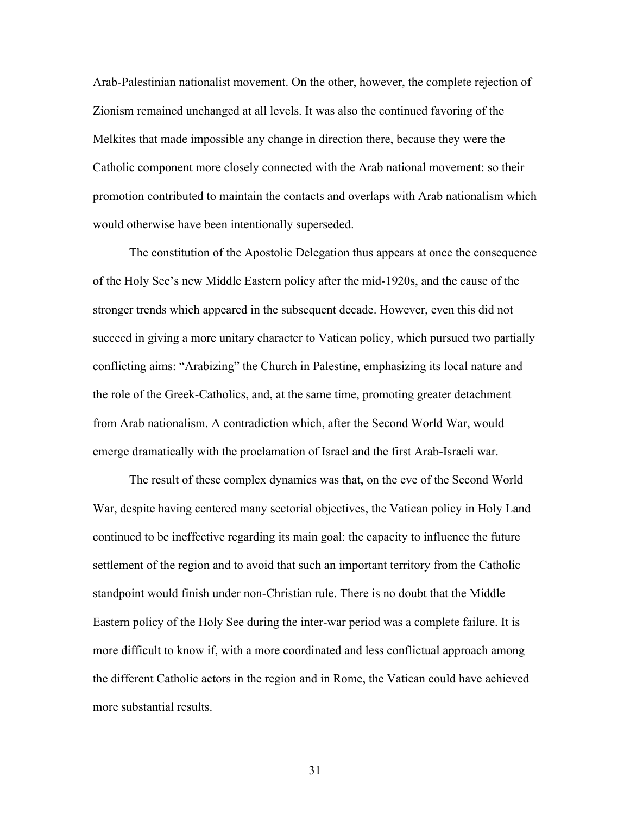Arab-Palestinian nationalist movement. On the other, however, the complete rejection of Zionism remained unchanged at all levels. It was also the continued favoring of the Melkites that made impossible any change in direction there, because they were the Catholic component more closely connected with the Arab national movement: so their promotion contributed to maintain the contacts and overlaps with Arab nationalism which would otherwise have been intentionally superseded.

The constitution of the Apostolic Delegation thus appears at once the consequence of the Holy See's new Middle Eastern policy after the mid-1920s, and the cause of the stronger trends which appeared in the subsequent decade. However, even this did not succeed in giving a more unitary character to Vatican policy, which pursued two partially conflicting aims: "Arabizing" the Church in Palestine, emphasizing its local nature and the role of the Greek-Catholics, and, at the same time, promoting greater detachment from Arab nationalism. A contradiction which, after the Second World War, would emerge dramatically with the proclamation of Israel and the first Arab-Israeli war.

The result of these complex dynamics was that, on the eve of the Second World War, despite having centered many sectorial objectives, the Vatican policy in Holy Land continued to be ineffective regarding its main goal: the capacity to influence the future settlement of the region and to avoid that such an important territory from the Catholic standpoint would finish under non-Christian rule. There is no doubt that the Middle Eastern policy of the Holy See during the inter-war period was a complete failure. It is more difficult to know if, with a more coordinated and less conflictual approach among the different Catholic actors in the region and in Rome, the Vatican could have achieved more substantial results.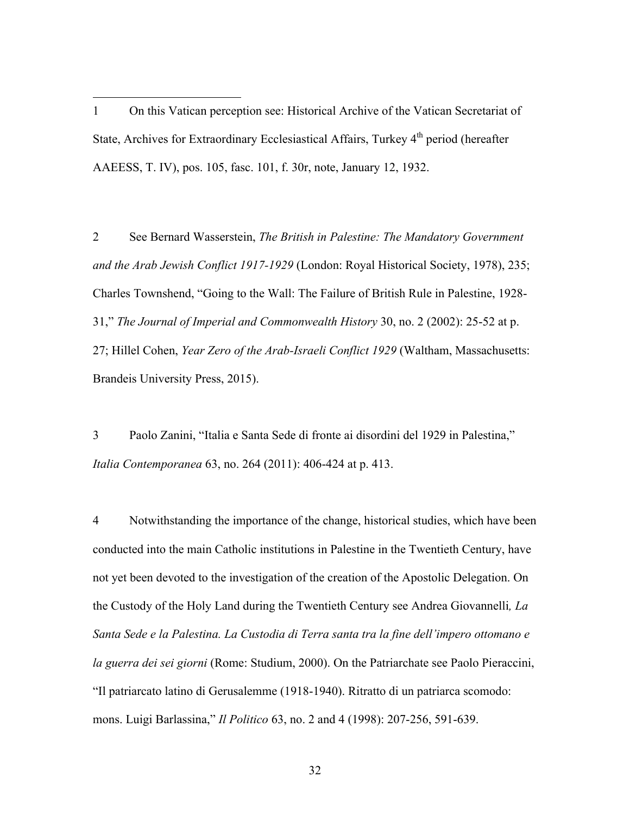1 On this Vatican perception see: Historical Archive of the Vatican Secretariat of State, Archives for Extraordinary Ecclesiastical Affairs, Turkey 4<sup>th</sup> period (hereafter AAEESS, T. IV), pos. 105, fasc. 101, f. 30r, note, January 12, 1932.

1

2 See Bernard Wasserstein, *The British in Palestine: The Mandatory Government and the Arab Jewish Conflict 1917-1929* (London: Royal Historical Society, 1978), 235; Charles Townshend, "Going to the Wall: The Failure of British Rule in Palestine, 1928- 31," *The Journal of Imperial and Commonwealth History* 30, no. 2 (2002): 25-52 at p. 27; Hillel Cohen, *Year Zero of the Arab-Israeli Conflict 1929* (Waltham, Massachusetts: Brandeis University Press, 2015).

3 Paolo Zanini, "Italia e Santa Sede di fronte ai disordini del 1929 in Palestina," *Italia Contemporanea* 63, no. 264 (2011): 406-424 at p. 413.

4 Notwithstanding the importance of the change, historical studies, which have been conducted into the main Catholic institutions in Palestine in the Twentieth Century, have not yet been devoted to the investigation of the creation of the Apostolic Delegation. On the Custody of the Holy Land during the Twentieth Century see Andrea Giovannelli*, La Santa Sede e la Palestina. La Custodia di Terra santa tra la fine dell'impero ottomano e la guerra dei sei giorni* (Rome: Studium, 2000). On the Patriarchate see Paolo Pieraccini, "Il patriarcato latino di Gerusalemme (1918-1940). Ritratto di un patriarca scomodo: mons. Luigi Barlassina," *Il Politico* 63, no. 2 and 4 (1998): 207-256, 591-639.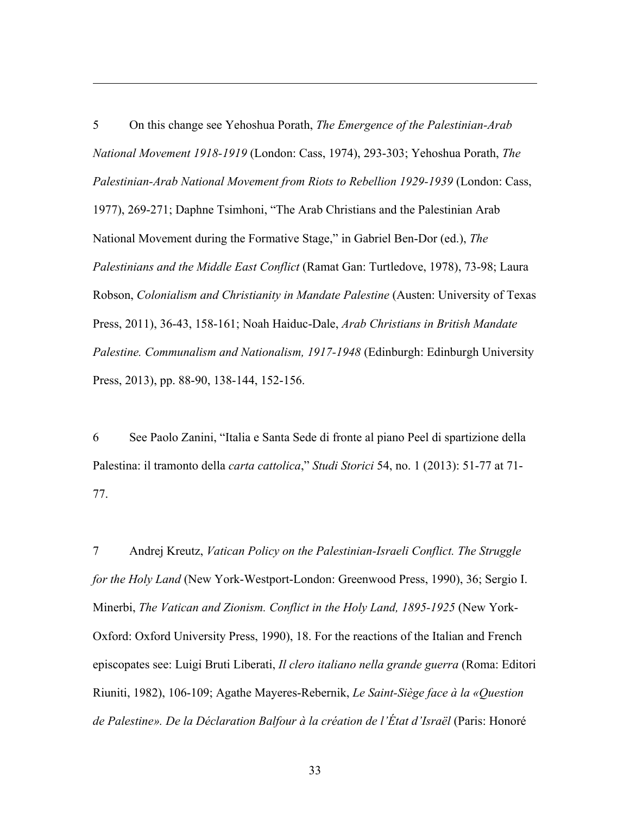5 On this change see Yehoshua Porath, *The Emergence of the Palestinian-Arab National Movement 1918-1919* (London: Cass, 1974), 293-303; Yehoshua Porath, *The Palestinian-Arab National Movement from Riots to Rebellion 1929-1939* (London: Cass, 1977), 269-271; Daphne Tsimhoni, "The Arab Christians and the Palestinian Arab National Movement during the Formative Stage," in Gabriel Ben-Dor (ed.), *The Palestinians and the Middle East Conflict* (Ramat Gan: Turtledove, 1978), 73-98; Laura Robson, *Colonialism and Christianity in Mandate Palestine* (Austen: University of Texas Press, 2011), 36-43, 158-161; Noah Haiduc-Dale, *Arab Christians in British Mandate Palestine. Communalism and Nationalism, 1917-1948* (Edinburgh: Edinburgh University Press, 2013), pp. 88-90, 138-144, 152-156.

<u>.</u>

6 See Paolo Zanini, "Italia e Santa Sede di fronte al piano Peel di spartizione della Palestina: il tramonto della *carta cattolica*," *Studi Storici* 54, no. 1 (2013): 51-77 at 71- 77.

7 Andrej Kreutz, *Vatican Policy on the Palestinian-Israeli Conflict. The Struggle for the Holy Land* (New York-Westport-London: Greenwood Press, 1990), 36; Sergio I. Minerbi, *The Vatican and Zionism. Conflict in the Holy Land, 1895-1925* (New York-Oxford: Oxford University Press, 1990), 18. For the reactions of the Italian and French episcopates see: Luigi Bruti Liberati, *Il clero italiano nella grande guerra* (Roma: Editori Riuniti, 1982), 106-109; Agathe Mayeres-Rebernik, *Le Saint-Siège face à la «Question de Palestine». De la Déclaration Balfour à la création de l'État d'Israël* (Paris: Honoré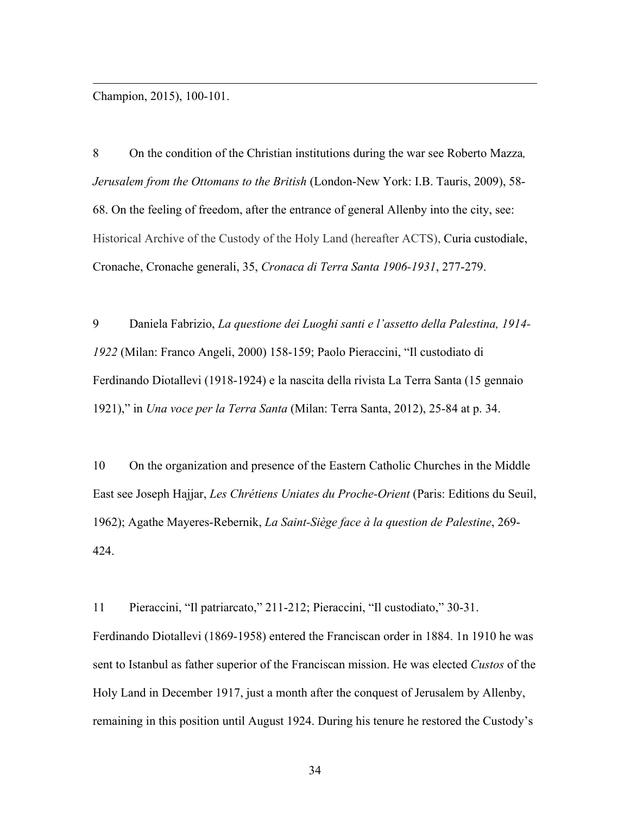Champion, 2015), 100-101.

<u>.</u>

8 On the condition of the Christian institutions during the war see Roberto Mazza*, Jerusalem from the Ottomans to the British* (London-New York: I.B. Tauris, 2009), 58- 68. On the feeling of freedom, after the entrance of general Allenby into the city, see: Historical Archive of the Custody of the Holy Land (hereafter ACTS), Curia custodiale, Cronache, Cronache generali, 35, *Cronaca di Terra Santa 1906-1931*, 277-279.

9 Daniela Fabrizio, *La questione dei Luoghi santi e l'assetto della Palestina, 1914- 1922* (Milan: Franco Angeli, 2000) 158-159; Paolo Pieraccini, "Il custodiato di Ferdinando Diotallevi (1918-1924) e la nascita della rivista La Terra Santa (15 gennaio 1921)," in *Una voce per la Terra Santa* (Milan: Terra Santa, 2012), 25-84 at p. 34.

10 On the organization and presence of the Eastern Catholic Churches in the Middle East see Joseph Hajjar, *Les Chrétiens Uniates du Proche-Orient* (Paris: Editions du Seuil, 1962); Agathe Mayeres-Rebernik, *La Saint-Siège face à la question de Palestine*, 269- 424.

11 Pieraccini, "Il patriarcato," 211-212; Pieraccini, "Il custodiato," 30-31. Ferdinando Diotallevi (1869-1958) entered the Franciscan order in 1884. 1n 1910 he was sent to Istanbul as father superior of the Franciscan mission. He was elected *Custos* of the Holy Land in December 1917, just a month after the conquest of Jerusalem by Allenby, remaining in this position until August 1924. During his tenure he restored the Custody's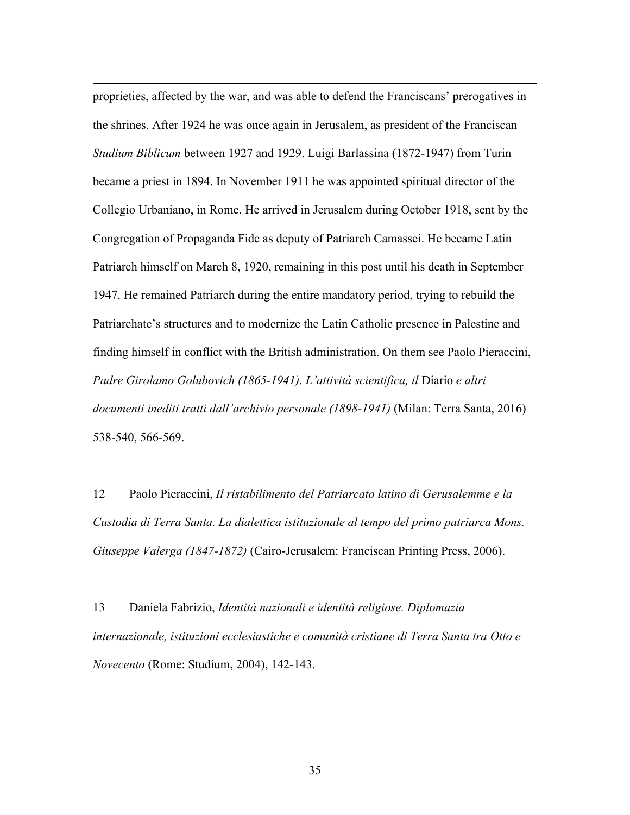proprieties, affected by the war, and was able to defend the Franciscans' prerogatives in the shrines. After 1924 he was once again in Jerusalem, as president of the Franciscan *Studium Biblicum* between 1927 and 1929. Luigi Barlassina (1872-1947) from Turin became a priest in 1894. In November 1911 he was appointed spiritual director of the Collegio Urbaniano, in Rome. He arrived in Jerusalem during October 1918, sent by the Congregation of Propaganda Fide as deputy of Patriarch Camassei. He became Latin Patriarch himself on March 8, 1920, remaining in this post until his death in September 1947. He remained Patriarch during the entire mandatory period, trying to rebuild the Patriarchate's structures and to modernize the Latin Catholic presence in Palestine and finding himself in conflict with the British administration. On them see Paolo Pieraccini, *Padre Girolamo Golubovich (1865-1941). L'attività scientifica, il* Diario *e altri documenti inediti tratti dall'archivio personale (1898-1941)* (Milan: Terra Santa, 2016) 538-540, 566-569.

<u>.</u>

12 Paolo Pieraccini, *Il ristabilimento del Patriarcato latino di Gerusalemme e la Custodia di Terra Santa. La dialettica istituzionale al tempo del primo patriarca Mons. Giuseppe Valerga (1847-1872)* (Cairo-Jerusalem: Franciscan Printing Press, 2006).

13 Daniela Fabrizio, *Identità nazionali e identità religiose. Diplomazia internazionale, istituzioni ecclesiastiche e comunità cristiane di Terra Santa tra Otto e Novecento* (Rome: Studium, 2004), 142-143.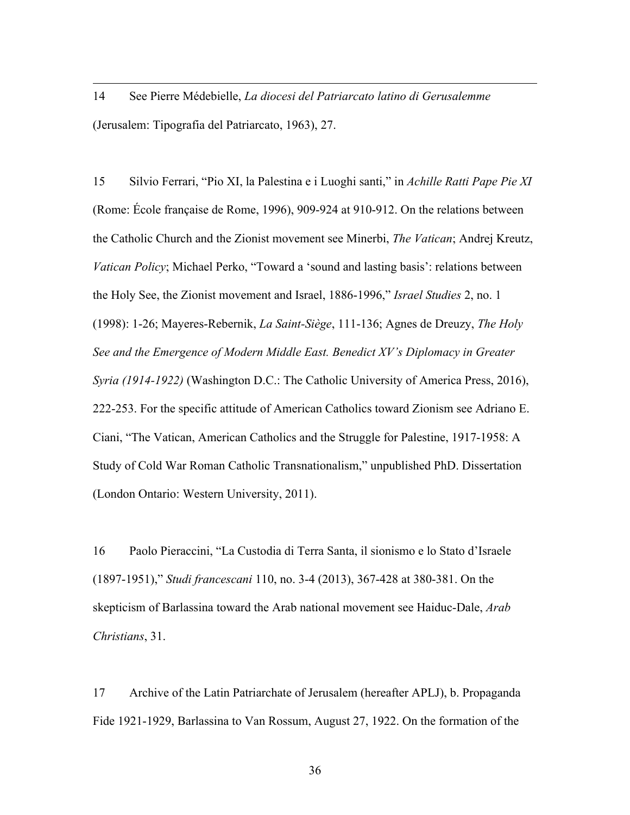14 See Pierre Médebielle, *La diocesi del Patriarcato latino di Gerusalemme* (Jerusalem: Tipografia del Patriarcato, 1963), 27.

<u>.</u>

15 Silvio Ferrari, "Pio XI, la Palestina e i Luoghi santi," in *Achille Ratti Pape Pie XI* (Rome: École française de Rome, 1996), 909-924 at 910-912. On the relations between the Catholic Church and the Zionist movement see Minerbi, *The Vatican*; Andrej Kreutz, *Vatican Policy*; Michael Perko, "Toward a 'sound and lasting basis': relations between the Holy See, the Zionist movement and Israel, 1886-1996," *Israel Studies* 2, no. 1 (1998): 1-26; Mayeres-Rebernik, *La Saint-Siège*, 111-136; Agnes de Dreuzy, *The Holy See and the Emergence of Modern Middle East. Benedict XV's Diplomacy in Greater Syria (1914-1922)* (Washington D.C.: The Catholic University of America Press, 2016), 222-253. For the specific attitude of American Catholics toward Zionism see Adriano E. Ciani, "The Vatican, American Catholics and the Struggle for Palestine, 1917-1958: A Study of Cold War Roman Catholic Transnationalism," unpublished PhD. Dissertation (London Ontario: Western University, 2011).

16 Paolo Pieraccini, "La Custodia di Terra Santa, il sionismo e lo Stato d'Israele (1897-1951)," *Studi francescani* 110, no. 3-4 (2013), 367-428 at 380-381. On the skepticism of Barlassina toward the Arab national movement see Haiduc-Dale, *Arab Christians*, 31.

17 Archive of the Latin Patriarchate of Jerusalem (hereafter APLJ), b. Propaganda Fide 1921-1929, Barlassina to Van Rossum, August 27, 1922. On the formation of the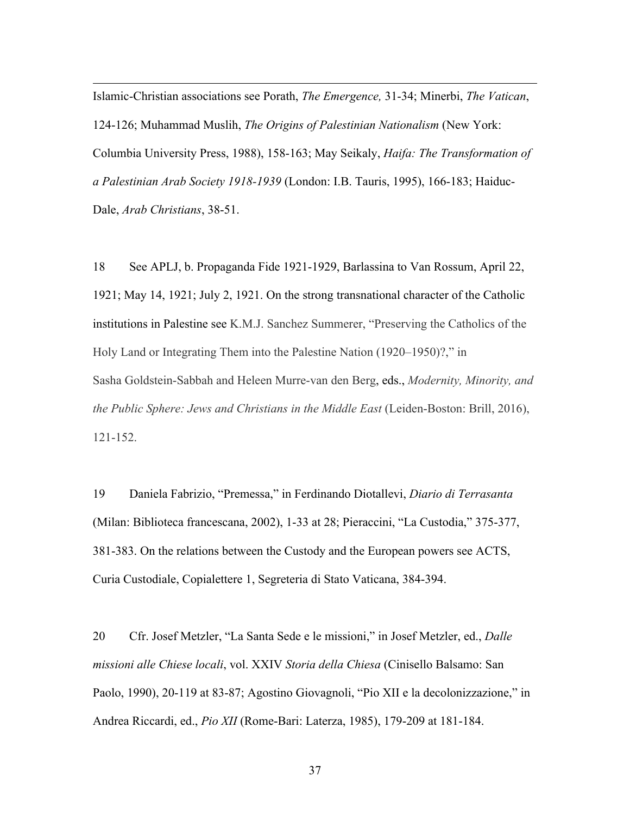Islamic-Christian associations see Porath, *The Emergence,* 31-34; Minerbi, *The Vatican*, 124-126; Muhammad Muslih, *The Origins of Palestinian Nationalism* (New York: Columbia University Press, 1988), 158-163; May Seikaly, *Haifa: The Transformation of a Palestinian Arab Society 1918-1939* (London: I.B. Tauris, 1995), 166-183; Haiduc-Dale, *Arab Christians*, 38-51.

<u>.</u>

18 See APLJ, b. Propaganda Fide 1921-1929, Barlassina to Van Rossum, April 22, 1921; May 14, 1921; July 2, 1921. On the strong transnational character of the Catholic institutions in Palestine see K.M.J. Sanchez Summerer, "Preserving the Catholics of the Holy Land or Integrating Them into the Palestine Nation (1920–1950)?," in Sasha Goldstein-Sabbah and Heleen Murre-van den Berg, eds., *Modernity, Minority, and the Public Sphere: Jews and Christians in the Middle East* (Leiden-Boston: Brill, 2016), 121-152.

19 Daniela Fabrizio, "Premessa," in Ferdinando Diotallevi, *Diario di Terrasanta* (Milan: Biblioteca francescana, 2002), 1-33 at 28; Pieraccini, "La Custodia," 375-377, 381-383. On the relations between the Custody and the European powers see ACTS, Curia Custodiale, Copialettere 1, Segreteria di Stato Vaticana, 384-394.

20 Cfr. Josef Metzler, "La Santa Sede e le missioni," in Josef Metzler, ed., *Dalle missioni alle Chiese locali*, vol. XXIV *Storia della Chiesa* (Cinisello Balsamo: San Paolo, 1990), 20-119 at 83-87; Agostino Giovagnoli, "Pio XII e la decolonizzazione," in Andrea Riccardi, ed., *Pio XII* (Rome-Bari: Laterza, 1985), 179-209 at 181-184.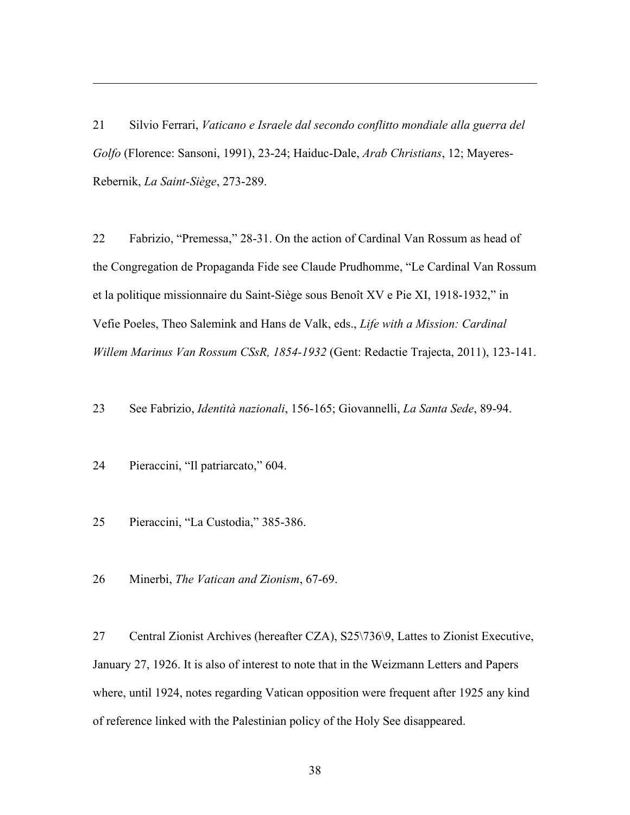21 Silvio Ferrari, *Vaticano e Israele dal secondo conflitto mondiale alla guerra del Golfo* (Florence: Sansoni, 1991), 23-24; Haiduc-Dale, *Arab Christians*, 12; Mayeres-Rebernik, *La Saint-Siège*, 273-289.

22 Fabrizio, "Premessa," 28-31. On the action of Cardinal Van Rossum as head of the Congregation de Propaganda Fide see Claude Prudhomme, "Le Cardinal Van Rossum et la politique missionnaire du Saint-Siège sous Benoît XV e Pie XI, 1918-1932," in Vefie Poeles, Theo Salemink and Hans de Valk, eds., *Life with a Mission: Cardinal Willem Marinus Van Rossum CSsR, 1854-1932* (Gent: Redactie Trajecta, 2011), 123-141.

23 See Fabrizio, *Identità nazionali*, 156-165; Giovannelli, *La Santa Sede*, 89-94.

24 Pieraccini, "Il patriarcato," 604.

<u>.</u>

25 Pieraccini, "La Custodia," 385-386.

26 Minerbi, *The Vatican and Zionism*, 67-69.

27 Central Zionist Archives (hereafter CZA), S25\736\9, Lattes to Zionist Executive, January 27, 1926. It is also of interest to note that in the Weizmann Letters and Papers where, until 1924, notes regarding Vatican opposition were frequent after 1925 any kind of reference linked with the Palestinian policy of the Holy See disappeared.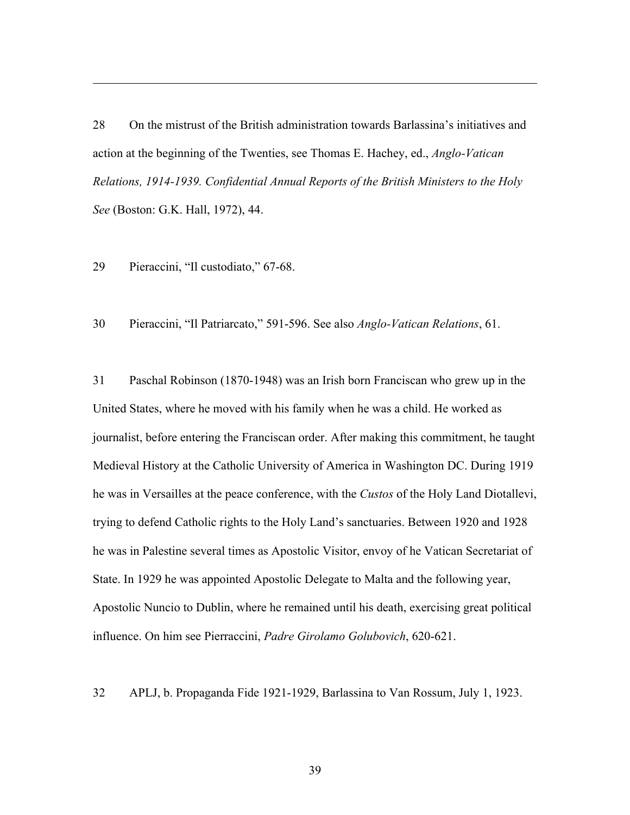28 On the mistrust of the British administration towards Barlassina's initiatives and action at the beginning of the Twenties, see Thomas E. Hachey, ed., *Anglo-Vatican Relations, 1914-1939. Confidential Annual Reports of the British Ministers to the Holy See* (Boston: G.K. Hall, 1972), 44.

29 Pieraccini, "Il custodiato," 67-68.

<u>.</u>

30 Pieraccini, "Il Patriarcato," 591-596. See also *Anglo-Vatican Relations*, 61.

31 Paschal Robinson (1870-1948) was an Irish born Franciscan who grew up in the United States, where he moved with his family when he was a child. He worked as journalist, before entering the Franciscan order. After making this commitment, he taught Medieval History at the Catholic University of America in Washington DC. During 1919 he was in Versailles at the peace conference, with the *Custos* of the Holy Land Diotallevi, trying to defend Catholic rights to the Holy Land's sanctuaries. Between 1920 and 1928 he was in Palestine several times as Apostolic Visitor, envoy of he Vatican Secretariat of State. In 1929 he was appointed Apostolic Delegate to Malta and the following year, Apostolic Nuncio to Dublin, where he remained until his death, exercising great political influence. On him see Pierraccini, *Padre Girolamo Golubovich*, 620-621.

32 APLJ, b. Propaganda Fide 1921-1929, Barlassina to Van Rossum, July 1, 1923.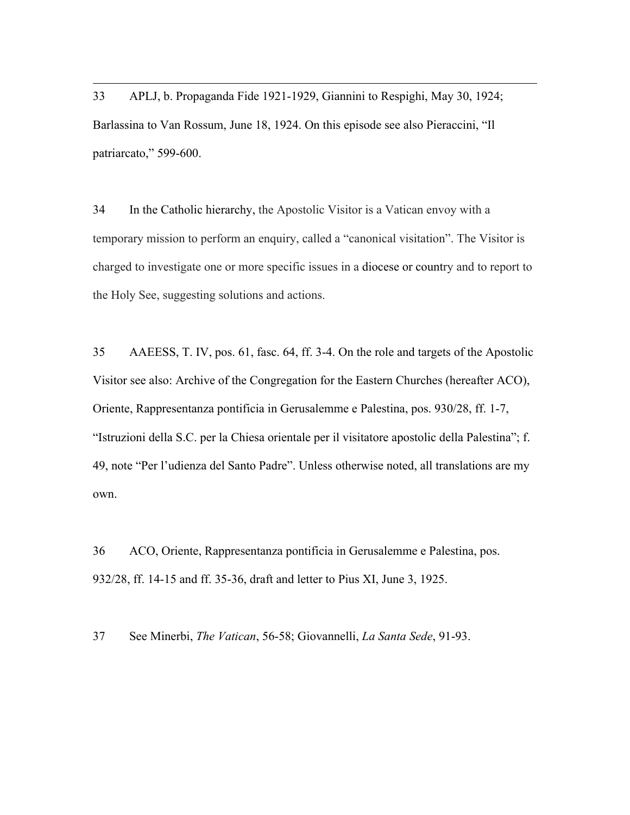33 APLJ, b. Propaganda Fide 1921-1929, Giannini to Respighi, May 30, 1924; Barlassina to Van Rossum, June 18, 1924. On this episode see also Pieraccini, "Il patriarcato," 599-600.

<u>.</u>

34 In the Catholic hierarchy, the Apostolic Visitor is a Vatican envoy with a temporary mission to perform an enquiry, called a "canonical visitation". The Visitor is charged to investigate one or more specific issues in a diocese or country and to report to the Holy See, suggesting solutions and actions.

35 AAEESS, T. IV, pos. 61, fasc. 64, ff. 3-4. On the role and targets of the Apostolic Visitor see also: Archive of the Congregation for the Eastern Churches (hereafter ACO), Oriente, Rappresentanza pontificia in Gerusalemme e Palestina, pos. 930/28, ff. 1-7, "Istruzioni della S.C. per la Chiesa orientale per il visitatore apostolic della Palestina"; f. 49, note "Per l'udienza del Santo Padre". Unless otherwise noted, all translations are my own.

36 ACO, Oriente, Rappresentanza pontificia in Gerusalemme e Palestina, pos. 932/28, ff. 14-15 and ff. 35-36, draft and letter to Pius XI, June 3, 1925.

37 See Minerbi, *The Vatican*, 56-58; Giovannelli, *La Santa Sede*, 91-93.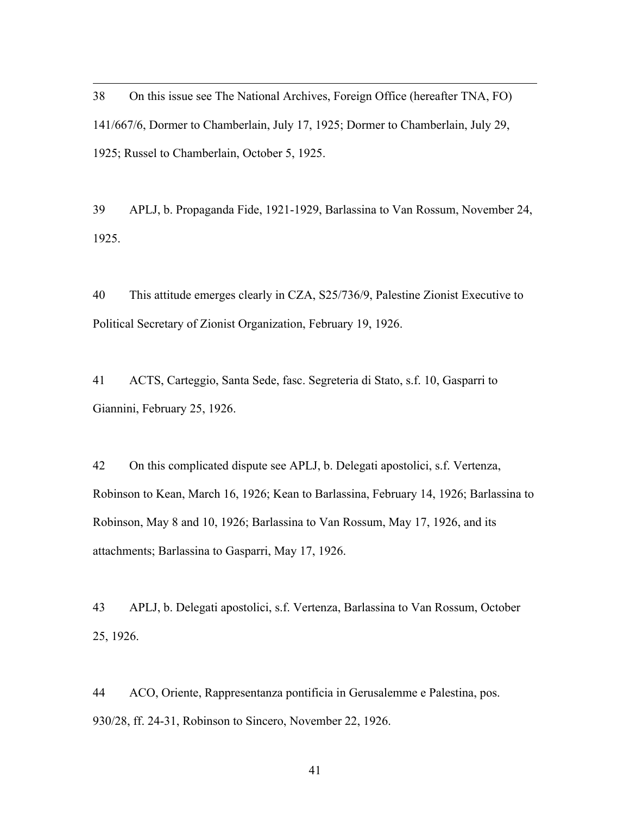38 On this issue see The National Archives, Foreign Office (hereafter TNA, FO) 141/667/6, Dormer to Chamberlain, July 17, 1925; Dormer to Chamberlain, July 29, 1925; Russel to Chamberlain, October 5, 1925.

<u>.</u>

39 APLJ, b. Propaganda Fide, 1921-1929, Barlassina to Van Rossum, November 24, 1925.

40 This attitude emerges clearly in CZA, S25/736/9, Palestine Zionist Executive to Political Secretary of Zionist Organization, February 19, 1926.

41 ACTS, Carteggio, Santa Sede, fasc. Segreteria di Stato, s.f. 10, Gasparri to Giannini, February 25, 1926.

42 On this complicated dispute see APLJ, b. Delegati apostolici, s.f. Vertenza, Robinson to Kean, March 16, 1926; Kean to Barlassina, February 14, 1926; Barlassina to Robinson, May 8 and 10, 1926; Barlassina to Van Rossum, May 17, 1926, and its attachments; Barlassina to Gasparri, May 17, 1926.

43 APLJ, b. Delegati apostolici, s.f. Vertenza, Barlassina to Van Rossum, October 25, 1926.

44 ACO, Oriente, Rappresentanza pontificia in Gerusalemme e Palestina, pos. 930/28, ff. 24-31, Robinson to Sincero, November 22, 1926.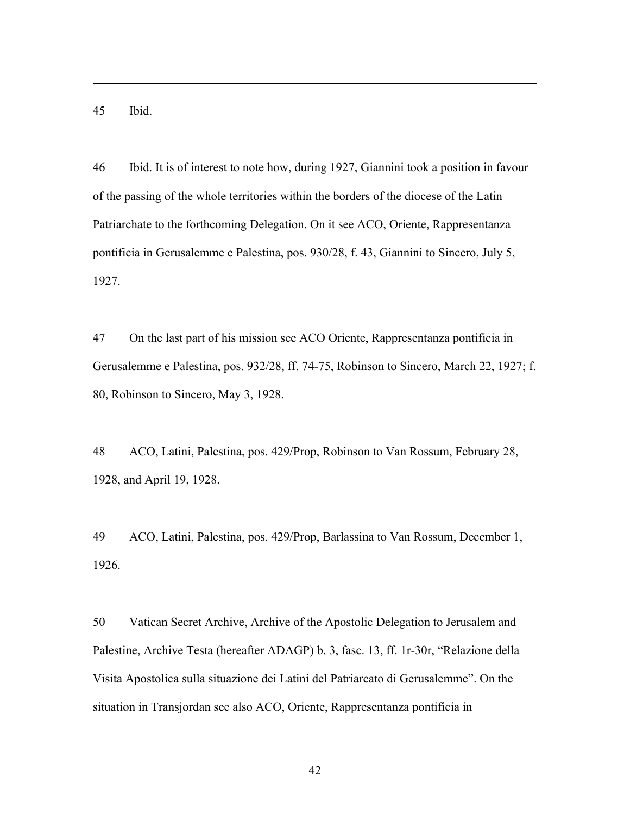45 Ibid.

<u>.</u>

46 Ibid. It is of interest to note how, during 1927, Giannini took a position in favour of the passing of the whole territories within the borders of the diocese of the Latin Patriarchate to the forthcoming Delegation. On it see ACO, Oriente, Rappresentanza pontificia in Gerusalemme e Palestina, pos. 930/28, f. 43, Giannini to Sincero, July 5, 1927.

47 On the last part of his mission see ACO Oriente, Rappresentanza pontificia in Gerusalemme e Palestina, pos. 932/28, ff. 74-75, Robinson to Sincero, March 22, 1927; f. 80, Robinson to Sincero, May 3, 1928.

48 ACO, Latini, Palestina, pos. 429/Prop, Robinson to Van Rossum, February 28, 1928, and April 19, 1928.

49 ACO, Latini, Palestina, pos. 429/Prop, Barlassina to Van Rossum, December 1, 1926.

50 Vatican Secret Archive, Archive of the Apostolic Delegation to Jerusalem and Palestine, Archive Testa (hereafter ADAGP) b. 3, fasc. 13, ff. 1r-30r, "Relazione della Visita Apostolica sulla situazione dei Latini del Patriarcato di Gerusalemme". On the situation in Transjordan see also ACO, Oriente, Rappresentanza pontificia in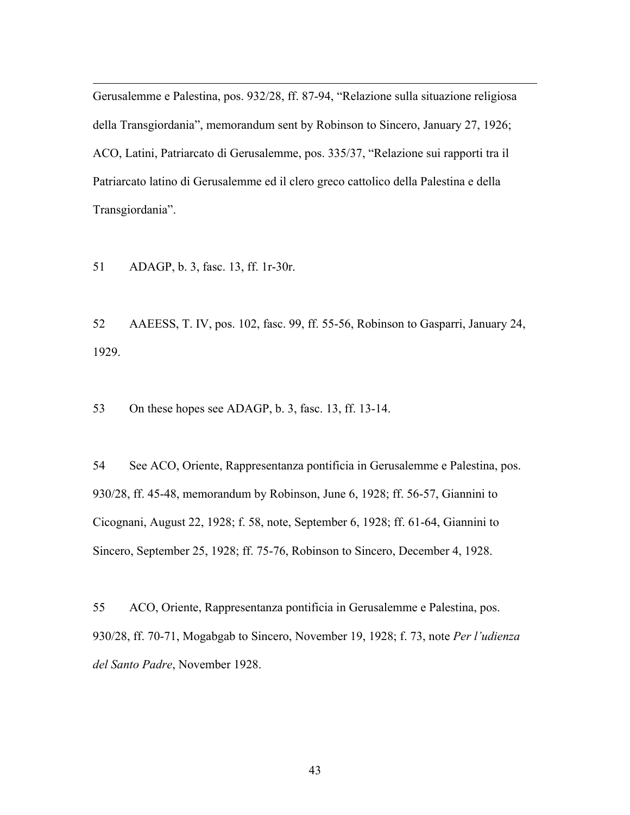Gerusalemme e Palestina, pos. 932/28, ff. 87-94, "Relazione sulla situazione religiosa della Transgiordania", memorandum sent by Robinson to Sincero, January 27, 1926; ACO, Latini, Patriarcato di Gerusalemme, pos. 335/37, "Relazione sui rapporti tra il Patriarcato latino di Gerusalemme ed il clero greco cattolico della Palestina e della Transgiordania".

51 ADAGP, b. 3, fasc. 13, ff. 1r-30r.

<u>.</u>

52 AAEESS, T. IV, pos. 102, fasc. 99, ff. 55-56, Robinson to Gasparri, January 24, 1929.

53 On these hopes see ADAGP, b. 3, fasc. 13, ff. 13-14.

54 See ACO, Oriente, Rappresentanza pontificia in Gerusalemme e Palestina, pos. 930/28, ff. 45-48, memorandum by Robinson, June 6, 1928; ff. 56-57, Giannini to Cicognani, August 22, 1928; f. 58, note, September 6, 1928; ff. 61-64, Giannini to Sincero, September 25, 1928; ff. 75-76, Robinson to Sincero, December 4, 1928.

55 ACO, Oriente, Rappresentanza pontificia in Gerusalemme e Palestina, pos. 930/28, ff. 70-71, Mogabgab to Sincero, November 19, 1928; f. 73, note *Per l'udienza del Santo Padre*, November 1928.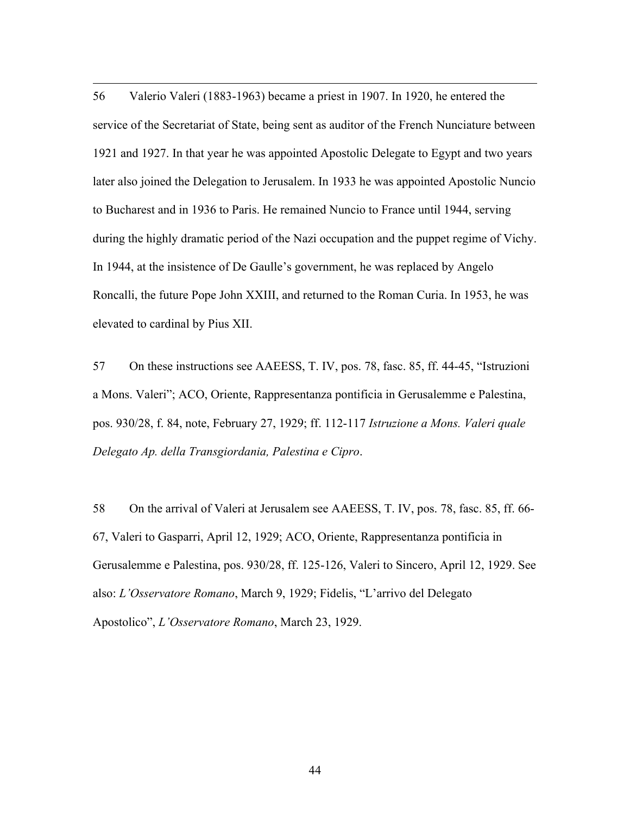<u>.</u> 56 Valerio Valeri (1883-1963) became a priest in 1907. In 1920, he entered the service of the Secretariat of State, being sent as auditor of the French Nunciature between 1921 and 1927. In that year he was appointed Apostolic Delegate to Egypt and two years later also joined the Delegation to Jerusalem. In 1933 he was appointed Apostolic Nuncio to Bucharest and in 1936 to Paris. He remained Nuncio to France until 1944, serving during the highly dramatic period of the Nazi occupation and the puppet regime of Vichy. In 1944, at the insistence of De Gaulle's government, he was replaced by Angelo Roncalli, the future Pope John XXIII, and returned to the Roman Curia. In 1953, he was elevated to cardinal by Pius XII.

57 On these instructions see AAEESS, T. IV, pos. 78, fasc. 85, ff. 44-45, "Istruzioni a Mons. Valeri"; ACO, Oriente, Rappresentanza pontificia in Gerusalemme e Palestina, pos. 930/28, f. 84, note, February 27, 1929; ff. 112-117 *Istruzione a Mons. Valeri quale Delegato Ap. della Transgiordania, Palestina e Cipro*.

58 On the arrival of Valeri at Jerusalem see AAEESS, T. IV, pos. 78, fasc. 85, ff. 66- 67, Valeri to Gasparri, April 12, 1929; ACO, Oriente, Rappresentanza pontificia in Gerusalemme e Palestina, pos. 930/28, ff. 125-126, Valeri to Sincero, April 12, 1929. See also: *L'Osservatore Romano*, March 9, 1929; Fidelis, "L'arrivo del Delegato Apostolico", *L'Osservatore Romano*, March 23, 1929.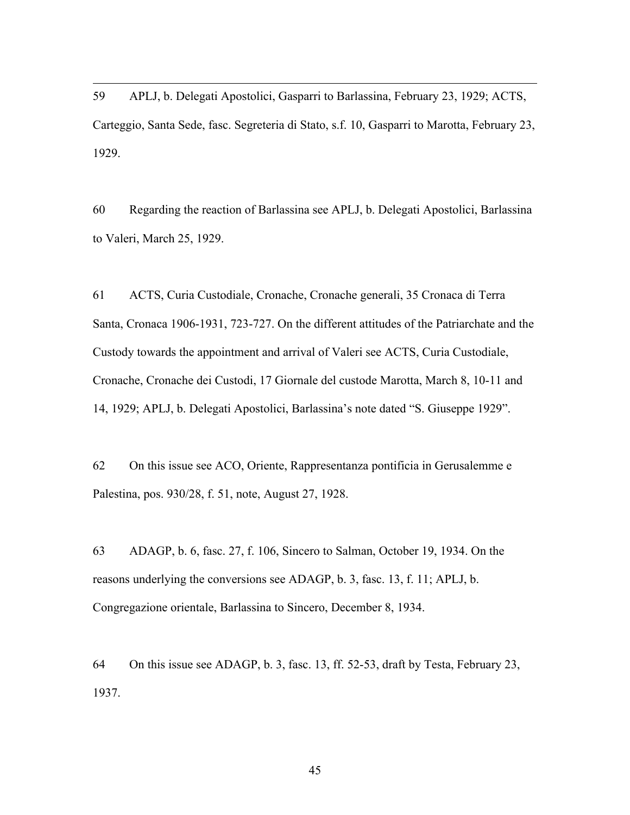59 APLJ, b. Delegati Apostolici, Gasparri to Barlassina, February 23, 1929; ACTS, Carteggio, Santa Sede, fasc. Segreteria di Stato, s.f. 10, Gasparri to Marotta, February 23, 1929.

<u>.</u>

60 Regarding the reaction of Barlassina see APLJ, b. Delegati Apostolici, Barlassina to Valeri, March 25, 1929.

61 ACTS, Curia Custodiale, Cronache, Cronache generali, 35 Cronaca di Terra Santa, Cronaca 1906-1931, 723-727. On the different attitudes of the Patriarchate and the Custody towards the appointment and arrival of Valeri see ACTS, Curia Custodiale, Cronache, Cronache dei Custodi, 17 Giornale del custode Marotta, March 8, 10-11 and 14, 1929; APLJ, b. Delegati Apostolici, Barlassina's note dated "S. Giuseppe 1929".

62 On this issue see ACO, Oriente, Rappresentanza pontificia in Gerusalemme e Palestina, pos. 930/28, f. 51, note, August 27, 1928.

63 ADAGP, b. 6, fasc. 27, f. 106, Sincero to Salman, October 19, 1934. On the reasons underlying the conversions see ADAGP, b. 3, fasc. 13, f. 11; APLJ, b. Congregazione orientale, Barlassina to Sincero, December 8, 1934.

64 On this issue see ADAGP, b. 3, fasc. 13, ff. 52-53, draft by Testa, February 23, 1937.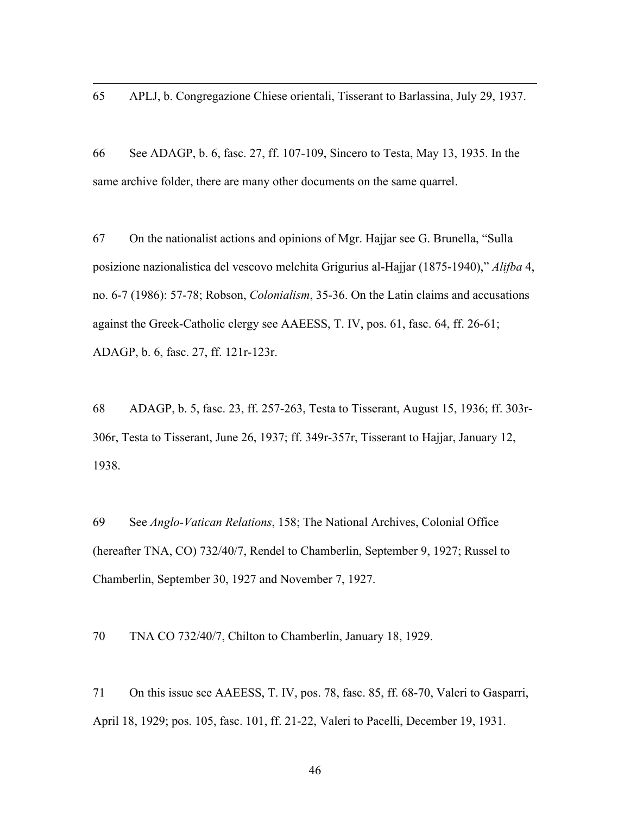65 APLJ, b. Congregazione Chiese orientali, Tisserant to Barlassina, July 29, 1937.

<u>.</u>

66 See ADAGP, b. 6, fasc. 27, ff. 107-109, Sincero to Testa, May 13, 1935. In the same archive folder, there are many other documents on the same quarrel.

67 On the nationalist actions and opinions of Mgr. Hajjar see G. Brunella, "Sulla posizione nazionalistica del vescovo melchita Grigurius al-Hajjar (1875-1940)," *Alifba* 4, no. 6-7 (1986): 57-78; Robson, *Colonialism*, 35-36. On the Latin claims and accusations against the Greek-Catholic clergy see AAEESS, T. IV, pos. 61, fasc. 64, ff. 26-61; ADAGP, b. 6, fasc. 27, ff. 121r-123r.

68 ADAGP, b. 5, fasc. 23, ff. 257-263, Testa to Tisserant, August 15, 1936; ff. 303r-306r, Testa to Tisserant, June 26, 1937; ff. 349r-357r, Tisserant to Hajjar, January 12, 1938.

69 See *Anglo-Vatican Relations*, 158; The National Archives, Colonial Office (hereafter TNA, CO) 732/40/7, Rendel to Chamberlin, September 9, 1927; Russel to Chamberlin, September 30, 1927 and November 7, 1927.

70 TNA CO 732/40/7, Chilton to Chamberlin, January 18, 1929.

71 On this issue see AAEESS, T. IV, pos. 78, fasc. 85, ff. 68-70, Valeri to Gasparri, April 18, 1929; pos. 105, fasc. 101, ff. 21-22, Valeri to Pacelli, December 19, 1931.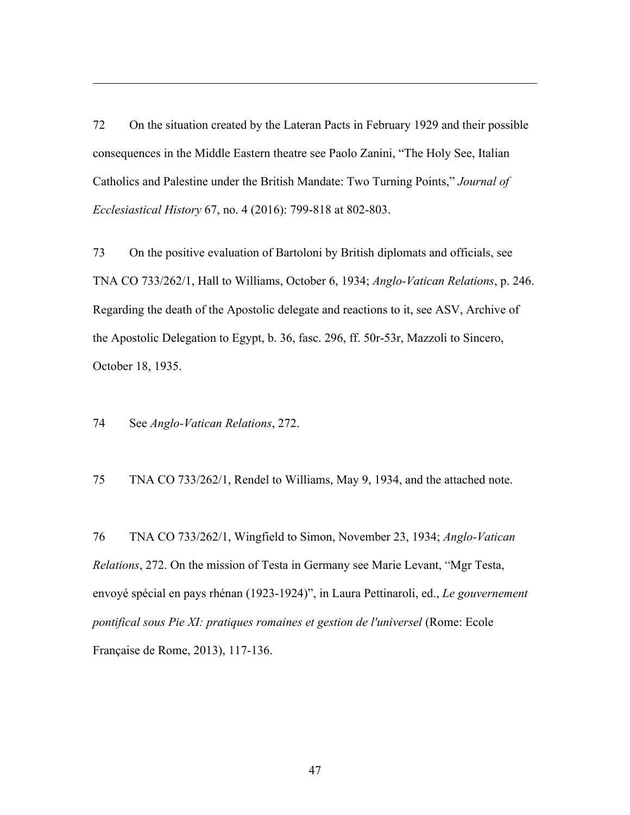72 On the situation created by the Lateran Pacts in February 1929 and their possible consequences in the Middle Eastern theatre see Paolo Zanini, "The Holy See, Italian Catholics and Palestine under the British Mandate: Two Turning Points," *Journal of Ecclesiastical History* 67, no. 4 (2016): 799-818 at 802-803.

73 On the positive evaluation of Bartoloni by British diplomats and officials, see TNA CO 733/262/1, Hall to Williams, October 6, 1934; *Anglo-Vatican Relations*, p. 246. Regarding the death of the Apostolic delegate and reactions to it, see ASV, Archive of the Apostolic Delegation to Egypt, b. 36, fasc. 296, ff. 50r-53r, Mazzoli to Sincero, October 18, 1935.

74 See *Anglo-Vatican Relations*, 272.

<u>.</u>

75 TNA CO 733/262/1, Rendel to Williams, May 9, 1934, and the attached note.

76 TNA CO 733/262/1, Wingfield to Simon, November 23, 1934; *Anglo-Vatican Relations*, 272. On the mission of Testa in Germany see Marie Levant, "Mgr Testa, envoyé spécial en pays rhénan (1923-1924)", in Laura Pettinaroli, ed., *Le gouvernement pontifical sous Pie XI: pratiques romaines et gestion de l'universel* (Rome: Ecole Française de Rome, 2013), 117-136.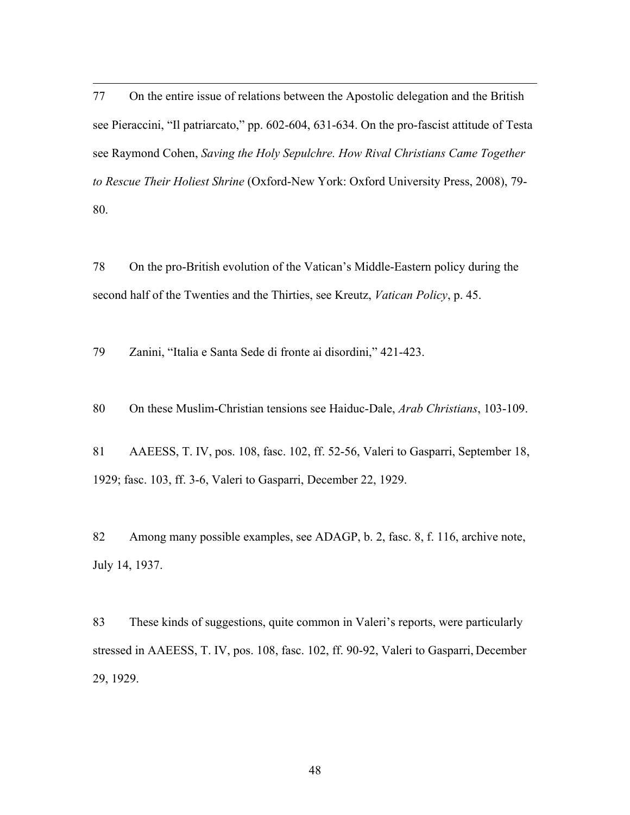77 On the entire issue of relations between the Apostolic delegation and the British see Pieraccini, "Il patriarcato," pp. 602-604, 631-634. On the pro-fascist attitude of Testa see Raymond Cohen, *Saving the Holy Sepulchre. How Rival Christians Came Together to Rescue Their Holiest Shrine* (Oxford-New York: Oxford University Press, 2008), 79- 80.

78 On the pro-British evolution of the Vatican's Middle-Eastern policy during the second half of the Twenties and the Thirties, see Kreutz, *Vatican Policy*, p. 45.

79 Zanini, "Italia e Santa Sede di fronte ai disordini," 421-423.

<u>.</u>

80 On these Muslim-Christian tensions see Haiduc-Dale, *Arab Christians*, 103-109.

81 AAEESS, T. IV, pos. 108, fasc. 102, ff. 52-56, Valeri to Gasparri, September 18, 1929; fasc. 103, ff. 3-6, Valeri to Gasparri, December 22, 1929.

82 Among many possible examples, see ADAGP, b. 2, fasc. 8, f. 116, archive note, July 14, 1937.

83 These kinds of suggestions, quite common in Valeri's reports, were particularly stressed in AAEESS, T. IV, pos. 108, fasc. 102, ff. 90-92, Valeri to Gasparri, December 29, 1929.